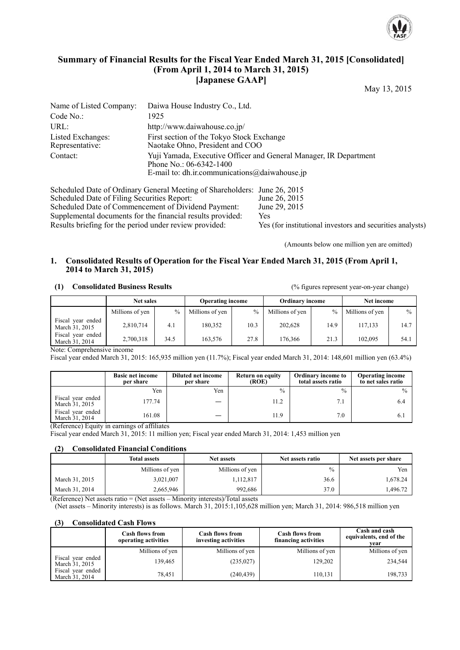

# **Summary of Financial Results for the Fiscal Year Ended March 31, 2015 [Consolidated] (From April 1, 2014 to March 31, 2015) [Japanese GAAP]**

May 13, 2015

| Name of Listed Company:              | Daiwa House Industry Co., Ltd.                                                                                                                |
|--------------------------------------|-----------------------------------------------------------------------------------------------------------------------------------------------|
| Code No.:                            | 1925                                                                                                                                          |
| URL:                                 | http://www.daiwahouse.co.jp/                                                                                                                  |
| Listed Exchanges:<br>Representative: | First section of the Tokyo Stock Exchange<br>Naotake Ohno, President and COO                                                                  |
| Contact:                             | Yuji Yamada, Executive Officer and General Manager, IR Department<br>Phone No.: 06-6342-1400<br>E-mail to: dh.ir.communications@daiwahouse.jp |

Scheduled Date of Ordinary General Meeting of Shareholders: June 26, 2015<br>Scheduled Date of Filing Securities Report: June 26, 2015 Scheduled Date of Filing Securities Report: June 26, 2015<br>Scheduled Date of Commencement of Dividend Payment: June 29, 2015 Scheduled Date of Commencement of Dividend Payment: Supplemental documents for the financial results provided: Yes Results briefing for the period under review provided: Yes (for institutional investors and securities analysts)

(Amounts below one million yen are omitted)

#### **1. Consolidated Results of Operation for the Fiscal Year Ended March 31, 2015 (From April 1, 2014 to March 31, 2015)**

#### **(1) Consolidated Business Results** (% figures represent year-on-year change)

|                                     | <b>Net sales</b> |      | <b>Operating income</b> |      | <b>Ordinary income</b> |               | Net income      |      |
|-------------------------------------|------------------|------|-------------------------|------|------------------------|---------------|-----------------|------|
|                                     | Millions of yen  | $\%$ | Millions of yen         | $\%$ | Millions of yen        | $\frac{0}{0}$ | Millions of yen | $\%$ |
| Fiscal year ended<br>March 31, 2015 | 2,810,714        | 4.1  | 180.352                 | 10.3 | 202.628                | 14.9          | 117.133         | 14.7 |
| Fiscal year ended<br>March 31, 2014 | 2,700,318        | 34.5 | 163.576                 | 27.8 | 176.366                | 21.3          | 102.095         | 54.  |

Note: Comprehensive income

Fiscal year ended March 31, 2015: 165,935 million yen (11.7%); Fiscal year ended March 31, 2014: 148,601 million yen (63.4%)

|                                     | <b>Basic net income</b><br>per share | <b>Diluted net income</b><br>per share | <b>Return on equity</b><br>(ROE) | <b>Ordinary income to</b><br>total assets ratio | <b>Operating income</b><br>to net sales ratio |
|-------------------------------------|--------------------------------------|----------------------------------------|----------------------------------|-------------------------------------------------|-----------------------------------------------|
|                                     | Yen                                  | Yen                                    | $\frac{0}{0}$                    | $\%$                                            | $\frac{0}{0}$                                 |
| Fiscal year ended<br>March 31, 2015 | 177.74                               |                                        | 11.2                             | 7.1                                             | 6.4                                           |
| Fiscal year ended<br>March 31, 2014 | 161.08                               |                                        | 11.9                             | 7.0                                             | 6.1                                           |

(Reference) Equity in earnings of affiliates

Fiscal year ended March 31, 2015: 11 million yen; Fiscal year ended March 31, 2014: 1,453 million yen

#### **(2) Consolidated Financial Conditions**

|                | <b>Net assets</b><br>Total assets |                 | Net assets ratio | Net assets per share |
|----------------|-----------------------------------|-----------------|------------------|----------------------|
|                | Millions of yen                   | Millions of yen | $\frac{0}{0}$    | Yen                  |
| March 31, 2015 | 3,021,007                         | 1,112,817       | 36.6             | 1,678.24             |
| March 31, 2014 | 2,665,946                         | 992.686         | 37.0             | .496.72              |

(Reference) Net assets ratio = (Net assets – Minority interests)/Total assets (Net assets – Minority interests) is as follows. March 31, 2015:1,105,628 million yen; March 31, 2014: 986,518 million yen

#### **(3) Consolidated Cash Flows**

|                                     | <b>Cash flows from</b><br>operating activities | <b>Cash flows from</b><br>investing activities | <b>Cash flows from</b><br>financing activities | Cash and cash<br>equivalents, end of the<br>vear |
|-------------------------------------|------------------------------------------------|------------------------------------------------|------------------------------------------------|--------------------------------------------------|
|                                     | Millions of yen                                | Millions of yen                                | Millions of yen                                | Millions of yen                                  |
| Fiscal year ended<br>March 31, 2015 | 139,465                                        | (235, 027)                                     | 129,202                                        | 234,544                                          |
| Fiscal year ended<br>March 31, 2014 | 78,451                                         | (240, 439)                                     | 110,131                                        | 198,733                                          |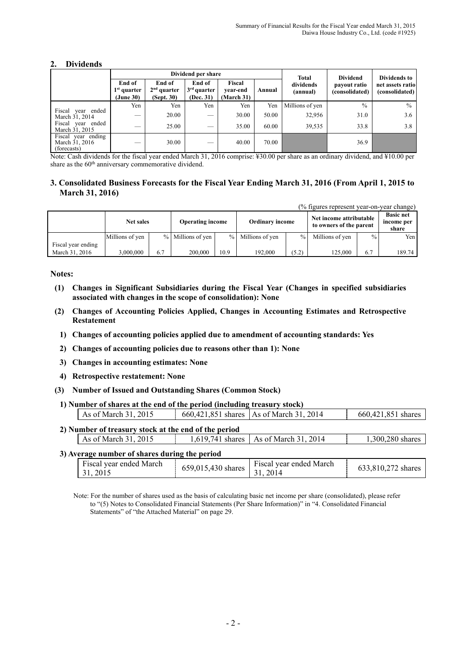#### **2. Dividends**

|                                                     |                                      |                                       | Dividend per share                   |                                |        | <b>Total</b>          | <b>Dividend</b>                | Dividends to                       |
|-----------------------------------------------------|--------------------------------------|---------------------------------------|--------------------------------------|--------------------------------|--------|-----------------------|--------------------------------|------------------------------------|
|                                                     | End of<br>$1st$ quarter<br>(June 30) | End of<br>$2nd$ quarter<br>(Sept. 30) | End of<br>$3rd$ quarter<br>(Dec. 31) | Fiscal<br>vear-end<br>March 31 | Annual | dividends<br>(annual) | payout ratio<br>(consolidated) | net assets ratio<br>(consolidated) |
|                                                     | Yen                                  | Yen                                   | Yen                                  | Yen                            | Yen    | Millions of yen       | $\frac{0}{0}$                  | $\frac{0}{0}$                      |
| Fiscal year ended<br>March 31, 2014                 | __                                   | 20.00                                 | —                                    | 30.00                          | 50.00  | 32,956                | 31.0                           | 3.6                                |
| Fiscal year ended<br>March 31, 2015                 | _                                    | 25.00                                 |                                      | 35.00                          | 60.00  | 39,535                | 33.8                           | 3.8                                |
| Fiscal year ending<br>March 31, 2016<br>(forecasts) | __                                   | 30.00                                 | __                                   | 40.00                          | 70.00  |                       | 36.9                           |                                    |

Note: Cash dividends for the fiscal year ended March 31, 2016 comprise: ¥30.00 per share as an ordinary dividend, and ¥10.00 per share as the 60<sup>th</sup> anniversary commemorative dividend.

#### **3. Consolidated Business Forecasts for the Fiscal Year Ending March 31, 2016 (From April 1, 2015 to March 31, 2016)**

(% figures represent year-on-year change)

|                    | <b>Net sales</b> |     | <b>Operating income</b> |               | <b>Ordinary income</b> |               | Net income attributable<br>to owners of the parent |      | <b>Basic net</b><br>income per<br>share |
|--------------------|------------------|-----|-------------------------|---------------|------------------------|---------------|----------------------------------------------------|------|-----------------------------------------|
|                    | Millions of yen  |     | % Millions of yen       | $\frac{0}{0}$ | Millions of yen        | $\frac{9}{6}$ | Millions of yen                                    | $\%$ | Yen                                     |
| Fiscal year ending |                  |     |                         |               |                        |               |                                                    |      |                                         |
| March 31, 2016     | 3.000.000        | 6.7 | 200.000                 | 10.9          | 192,000                | (5.2)         | 125,000                                            | 6.7  | 189.74                                  |

**Notes:** 

- **(1) Changes in Significant Subsidiaries during the Fiscal Year (Changes in specified subsidiaries associated with changes in the scope of consolidation): None**
- **(2) Changes of Accounting Policies Applied, Changes in Accounting Estimates and Retrospective Restatement** 
	- **1) Changes of accounting policies applied due to amendment of accounting standards: Yes**
	- **2) Changes of accounting policies due to reasons other than 1): None**
	- **3) Changes in accounting estimates: None**
	- **4) Retrospective restatement: None**
- **(3) Number of Issued and Outstanding Shares (Common Stock)**

| 1) Number of shares at the end of the period (including treasury stock) |  |                                           |                    |  |  |  |  |
|-------------------------------------------------------------------------|--|-------------------------------------------|--------------------|--|--|--|--|
| As of March 31, 2015                                                    |  | 660,421,851 shares   As of March 31, 2014 | 660,421,851 shares |  |  |  |  |

#### **2) Number of treasury stock at the end of the period**

| Tumber of treasury stock at the end of the perfou |                  |                                           |                  |
|---------------------------------------------------|------------------|-------------------------------------------|------------------|
| 2015<br>As of March 31.                           | 1.619.741 shares | 2014<br>$\lceil$   As of March 31, $\sim$ | $300,280$ shares |
|                                                   |                  |                                           |                  |

#### **3) Average number of shares during the period**

| Fiscal year ended March<br>31.2015 | $\therefore$ $\therefore$ $\therefore$ $\therefore$ $\therefore$ $\therefore$ $\therefore$ $\therefore$ $\therefore$ $\therefore$ $\therefore$ $\therefore$ $\therefore$ $\therefore$ $\therefore$ $\therefore$ $\therefore$ $\therefore$ $\therefore$ $\therefore$ $\therefore$ $\therefore$ $\therefore$ $\therefore$ $\therefore$ $\therefore$ $\therefore$ $\therefore$ $\therefore$ $\therefore$ $\therefore$ $\therefore$ $\therefore$ $\therefore$ $\therefore$ $\therefore$ $\therefore$ | Fiscal year ended March | 633,810,272 shares |
|------------------------------------|--------------------------------------------------------------------------------------------------------------------------------------------------------------------------------------------------------------------------------------------------------------------------------------------------------------------------------------------------------------------------------------------------------------------------------------------------------------------------------------------------|-------------------------|--------------------|

Note: For the number of shares used as the basis of calculating basic net income per share (consolidated), please refer to "(5) Notes to Consolidated Financial Statements (Per Share Information)" in "4. Consolidated Financial Statements" of "the Attached Material" on page 29.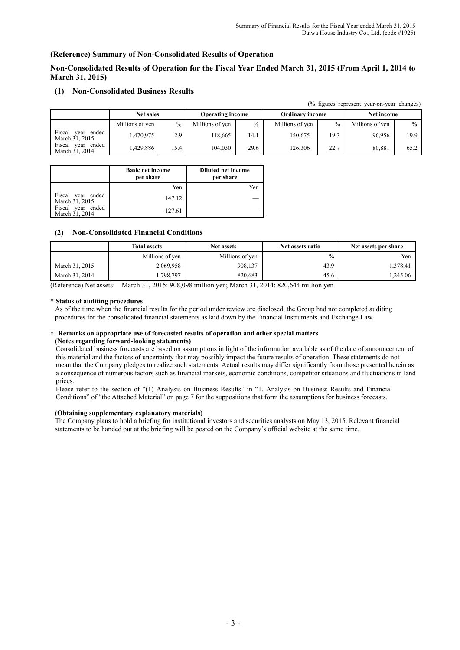$(0, t)$  figures represent year-on-year-on-year-on-year

#### **(Reference) Summary of Non-Consolidated Results of Operation**

**Non-Consolidated Results of Operation for the Fiscal Year Ended March 31, 2015 (From April 1, 2014 to March 31, 2015)** 

#### **(1) Non-Consolidated Business Results**

|                                           |                  |               |                         |      |                        |      | (70 ligules represent year-on-year changes) |      |
|-------------------------------------------|------------------|---------------|-------------------------|------|------------------------|------|---------------------------------------------|------|
|                                           | <b>Net sales</b> |               | <b>Operating income</b> |      | <b>Ordinary income</b> |      | Net income                                  |      |
|                                           | Millions of yen  | $\frac{0}{0}$ | Millions of yen         | $\%$ | Millions of yen        | $\%$ | Millions of yen                             | $\%$ |
| Fiscal<br>ended<br>vear<br>March 31, 2015 | 470,975          | 2.9           | 118.665                 | 14.1 | 150.675                | 19.3 | 96.956                                      | 19.9 |
| Fiscal<br>ended<br>vear<br>March 31, 2014 | .429.886         | 15.4          | 104.030                 | 29.6 | 126.306                | 22.7 | 80,881                                      | 65.2 |

|                                     | <b>Basic net income</b><br>per share | <b>Diluted net income</b><br>per share |
|-------------------------------------|--------------------------------------|----------------------------------------|
|                                     | Yen                                  | Yen                                    |
| Fiscal year ended<br>March 31, 2015 | 147.12                               |                                        |
| Fiscal year ended<br>March 31, 2014 | 127.61                               |                                        |

#### **(2) Non-Consolidated Financial Conditions**

|                | <b>Total assets</b> | <b>Net assets</b> | Net assets ratio | Net assets per share |
|----------------|---------------------|-------------------|------------------|----------------------|
|                | Millions of yen     | Millions of yen   | $\frac{0}{0}$    | Yen                  |
| March 31, 2015 | 2,069,958           | 908,137           | 43.9             | .378.41              |
| March 31, 2014 | .798,797            | 820,683           | 45.6             | ,245.06              |

(Reference) Net assets: March 31, 2015: 908,098 million yen; March 31, 2014: 820,644 million yen

#### **\* Status of auditing procedures**

As of the time when the financial results for the period under review are disclosed, the Group had not completed auditing procedures for the consolidated financial statements as laid down by the Financial Instruments and Exchange Law.

#### **\* Remarks on appropriate use of forecasted results of operation and other special matters (Notes regarding forward-looking statements)**

Consolidated business forecasts are based on assumptions in light of the information available as of the date of announcement of this material and the factors of uncertainty that may possibly impact the future results of operation. These statements do not mean that the Company pledges to realize such statements. Actual results may differ significantly from those presented herein as a consequence of numerous factors such as financial markets, economic conditions, competitor situations and fluctuations in land prices.

Please refer to the section of "(1) Analysis on Business Results" in "1. Analysis on Business Results and Financial Conditions" of "the Attached Material" on page 7 for the suppositions that form the assumptions for business forecasts.

#### **(Obtaining supplementary explanatory materials)**

The Company plans to hold a briefing for institutional investors and securities analysts on May 13, 2015. Relevant financial statements to be handed out at the briefing will be posted on the Company's official website at the same time.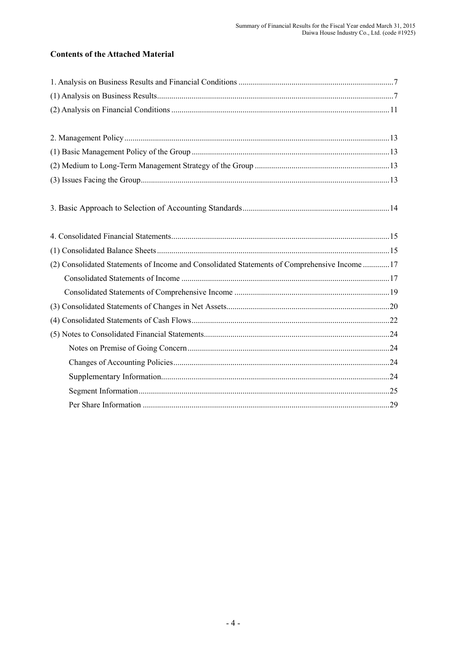# **Contents of the Attached Material**

| (2) Consolidated Statements of Income and Consolidated Statements of Comprehensive Income 17 |
|----------------------------------------------------------------------------------------------|
|                                                                                              |
|                                                                                              |
|                                                                                              |
|                                                                                              |
|                                                                                              |
|                                                                                              |
|                                                                                              |
|                                                                                              |
|                                                                                              |
|                                                                                              |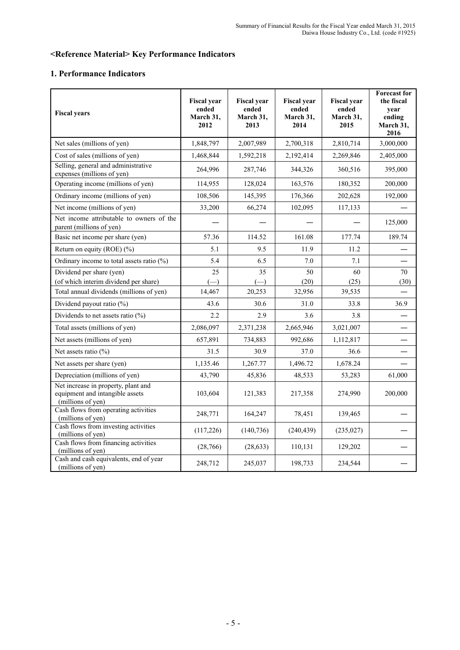# **<Reference Material> Key Performance Indicators**

# **1. Performance Indicators**

| <b>Fiscal years</b>                                                                         | <b>Fiscal year</b><br>ended<br>March 31,<br>2012 | <b>Fiscal year</b><br>ended<br>March 31,<br>2013 | <b>Fiscal year</b><br>ended<br>March 31,<br>2014 | <b>Fiscal year</b><br>ended<br>March 31,<br>2015 | <b>Forecast for</b><br>the fiscal<br>vear<br>ending<br>March 31,<br>2016 |
|---------------------------------------------------------------------------------------------|--------------------------------------------------|--------------------------------------------------|--------------------------------------------------|--------------------------------------------------|--------------------------------------------------------------------------|
| Net sales (millions of yen)                                                                 | 1,848,797                                        | 2,007,989                                        | 2,700,318                                        | 2,810,714                                        | 3,000,000                                                                |
| Cost of sales (millions of yen)                                                             | 1,468,844                                        | 1,592,218                                        | 2,192,414                                        | 2,269,846                                        | 2,405,000                                                                |
| Selling, general and administrative<br>expenses (millions of yen)                           | 264,996                                          | 287,746                                          | 344,326                                          | 360,516                                          | 395,000                                                                  |
| Operating income (millions of yen)                                                          | 114,955                                          | 128,024                                          | 163,576                                          | 180,352                                          | 200,000                                                                  |
| Ordinary income (millions of yen)                                                           | 108,506                                          | 145,395                                          | 176,366                                          | 202,628                                          | 192,000                                                                  |
| Net income (millions of yen)                                                                | 33,200                                           | 66,274                                           | 102,095                                          | 117,133                                          |                                                                          |
| Net income attributable to owners of the<br>parent (millions of yen)                        |                                                  |                                                  |                                                  |                                                  | 125,000                                                                  |
| Basic net income per share (yen)                                                            | 57.36                                            | 114.52                                           | 161.08                                           | 177.74                                           | 189.74                                                                   |
| Return on equity (ROE) $(\% )$                                                              | 5.1                                              | 9.5                                              | 11.9                                             | 11.2                                             |                                                                          |
| Ordinary income to total assets ratio $(\%)$                                                | 5.4                                              | 6.5                                              | 7.0                                              | 7.1                                              |                                                                          |
| Dividend per share (yen)                                                                    | 25                                               | 35                                               | 50                                               | 60                                               | 70                                                                       |
| (of which interim dividend per share)                                                       | $\left( \right)$                                 | $(-)$                                            | (20)                                             | (25)                                             | (30)                                                                     |
| Total annual dividends (millions of yen)                                                    | 14,467                                           | 20,253                                           | 32,956                                           | 39,535                                           |                                                                          |
| Dividend payout ratio (%)                                                                   | 43.6                                             | 30.6                                             | 31.0                                             | 33.8                                             | 36.9                                                                     |
| Dividends to net assets ratio $(\% )$                                                       | 2.2                                              | 2.9                                              | 3.6                                              | 3.8                                              |                                                                          |
| Total assets (millions of yen)                                                              | 2,086,097                                        | 2,371,238                                        | 2,665,946                                        | 3,021,007                                        |                                                                          |
| Net assets (millions of yen)                                                                | 657,891                                          | 734,883                                          | 992,686                                          | 1,112,817                                        |                                                                          |
| Net assets ratio $(\%)$                                                                     | 31.5                                             | 30.9                                             | 37.0                                             | 36.6                                             |                                                                          |
| Net assets per share (yen)                                                                  | 1,135.46                                         | 1,267.77                                         | 1,496.72                                         | 1,678.24                                         |                                                                          |
| Depreciation (millions of yen)                                                              | 43,790                                           | 45,836                                           | 48,533                                           | 53,283                                           | 61,000                                                                   |
| Net increase in property, plant and<br>equipment and intangible assets<br>(millions of yen) | 103,604                                          | 121,383                                          | 217,358                                          | 274,990                                          | 200,000                                                                  |
| Cash flows from operating activities<br>(millions of yen)                                   | 248,771                                          | 164,247                                          | 78,451                                           | 139,465                                          |                                                                          |
| Cash flows from investing activities<br>(millions of yen)                                   | (117,226)                                        | (140, 736)                                       | (240, 439)                                       | (235, 027)                                       |                                                                          |
| Cash flows from financing activities<br>(millions of yen)                                   | (28,766)                                         | (28, 633)                                        | 110,131                                          | 129,202                                          |                                                                          |
| Cash and cash equivalents, end of year<br>(millions of yen)                                 | 248,712                                          | 245,037                                          | 198,733                                          | 234,544                                          |                                                                          |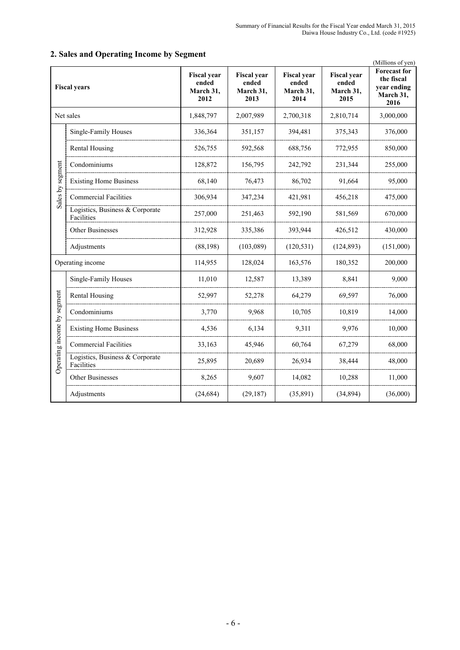|                             | <b>Fiscal years</b>                           | <b>Fiscal</b> year<br>ended<br>March 31,<br>2012 | <b>Fiscal year</b><br>ended<br>March 31,<br>2013 | <b>Fiscal year</b><br>ended<br>March 31,<br>2014 | <b>Fiscal year</b><br>ended<br>March 31,<br>2015 | (Millions of yen)<br><b>Forecast</b> for<br>the fiscal<br>year ending<br>March 31,<br>2016 |
|-----------------------------|-----------------------------------------------|--------------------------------------------------|--------------------------------------------------|--------------------------------------------------|--------------------------------------------------|--------------------------------------------------------------------------------------------|
|                             | Net sales                                     | 1,848,797                                        | 2,007,989                                        | 2,700,318                                        | 2,810,714                                        | 3,000,000                                                                                  |
|                             | Single-Family Houses                          | 336,364                                          | 351,157                                          | 394,481                                          | 375,343                                          | 376,000                                                                                    |
|                             | <b>Rental Housing</b>                         | 526,755                                          | 592,568                                          | 688,756                                          | 772,955                                          | 850,000                                                                                    |
|                             | Condominiums                                  | 128,872                                          | 156,795                                          | 242,792                                          | 231,344                                          | 255,000                                                                                    |
| Sales by segment            | <b>Existing Home Business</b>                 | 68,140                                           | 76,473                                           | 86,702                                           | 91,664                                           | 95,000                                                                                     |
|                             | <b>Commercial Facilities</b>                  | 306,934                                          | 347,234                                          | 421,981                                          | 456,218                                          | 475,000                                                                                    |
|                             | Logistics, Business & Corporate<br>Facilities | 257,000                                          | 251,463                                          | 592,190                                          | 581,569                                          | 670,000                                                                                    |
|                             | <b>Other Businesses</b>                       | 312,928                                          | 335,386                                          | 393,944                                          | 426,512                                          | 430,000                                                                                    |
|                             | Adjustments                                   | (88, 198)                                        | (103,089)                                        | (120, 531)                                       | (124, 893)                                       | (151,000)                                                                                  |
|                             | Operating income                              | 114,955                                          | 128,024                                          | 163,576                                          | 180,352                                          | 200,000                                                                                    |
|                             | Single-Family Houses                          | 11,010                                           | 12,587                                           | 13,389                                           | 8,841                                            | 9,000                                                                                      |
|                             | Rental Housing                                | 52,997                                           | 52,278                                           | 64,279                                           | 69,597                                           | 76,000                                                                                     |
|                             | Condominiums                                  | 3,770                                            | 9,968                                            | 10,705                                           | 10,819                                           | 14,000                                                                                     |
|                             | <b>Existing Home Business</b>                 | 4,536                                            | 6,134                                            | 9,311                                            | 9,976                                            | 10,000                                                                                     |
|                             | <b>Commercial Facilities</b>                  | 33,163                                           | 45,946                                           | 60,764                                           | 67,279                                           | 68,000                                                                                     |
| Operating income by segment | Logistics, Business & Corporate<br>Facilities | 25,895                                           | 20,689                                           | 26,934                                           | 38,444                                           | 48,000                                                                                     |
|                             | Other Businesses                              | 8,265                                            | 9,607                                            | 14,082                                           | 10,288                                           | 11,000                                                                                     |
|                             | Adjustments                                   | (24, 684)                                        | (29, 187)                                        | (35, 891)                                        | (34, 894)                                        | (36,000)                                                                                   |

# **2. Sales and Operating Income by Segment**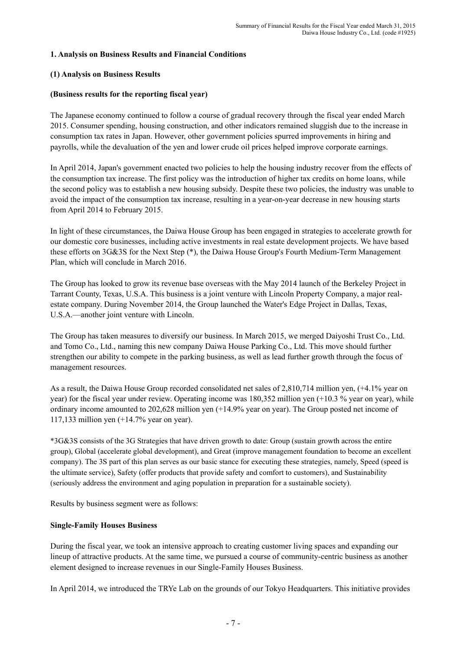# **1. Analysis on Business Results and Financial Conditions**

#### **(1) Analysis on Business Results**

### **(Business results for the reporting fiscal year)**

The Japanese economy continued to follow a course of gradual recovery through the fiscal year ended March 2015. Consumer spending, housing construction, and other indicators remained sluggish due to the increase in consumption tax rates in Japan. However, other government policies spurred improvements in hiring and payrolls, while the devaluation of the yen and lower crude oil prices helped improve corporate earnings.

In April 2014, Japan's government enacted two policies to help the housing industry recover from the effects of the consumption tax increase. The first policy was the introduction of higher tax credits on home loans, while the second policy was to establish a new housing subsidy. Despite these two policies, the industry was unable to avoid the impact of the consumption tax increase, resulting in a year-on-year decrease in new housing starts from April 2014 to February 2015.

In light of these circumstances, the Daiwa House Group has been engaged in strategies to accelerate growth for our domestic core businesses, including active investments in real estate development projects. We have based these efforts on 3G&3S for the Next Step (\*), the Daiwa House Group's Fourth Medium-Term Management Plan, which will conclude in March 2016.

The Group has looked to grow its revenue base overseas with the May 2014 launch of the Berkeley Project in Tarrant County, Texas, U.S.A. This business is a joint venture with Lincoln Property Company, a major realestate company. During November 2014, the Group launched the Water's Edge Project in Dallas, Texas, U.S.A.—another joint venture with Lincoln.

The Group has taken measures to diversify our business. In March 2015, we merged Daiyoshi Trust Co., Ltd. and Tomo Co., Ltd., naming this new company Daiwa House Parking Co., Ltd. This move should further strengthen our ability to compete in the parking business, as well as lead further growth through the focus of management resources.

As a result, the Daiwa House Group recorded consolidated net sales of 2,810,714 million yen, (+4.1% year on year) for the fiscal year under review. Operating income was 180,352 million yen (+10.3 % year on year), while ordinary income amounted to 202,628 million yen (+14.9% year on year). The Group posted net income of 117,133 million yen (+14.7% year on year).

\*3G&3S consists of the 3G Strategies that have driven growth to date: Group (sustain growth across the entire group), Global (accelerate global development), and Great (improve management foundation to become an excellent company). The 3S part of this plan serves as our basic stance for executing these strategies, namely, Speed (speed is the ultimate service), Safety (offer products that provide safety and comfort to customers), and Sustainability (seriously address the environment and aging population in preparation for a sustainable society).

Results by business segment were as follows:

# **Single-Family Houses Business**

During the fiscal year, we took an intensive approach to creating customer living spaces and expanding our lineup of attractive products. At the same time, we pursued a course of community-centric business as another element designed to increase revenues in our Single-Family Houses Business.

In April 2014, we introduced the TRYe Lab on the grounds of our Tokyo Headquarters. This initiative provides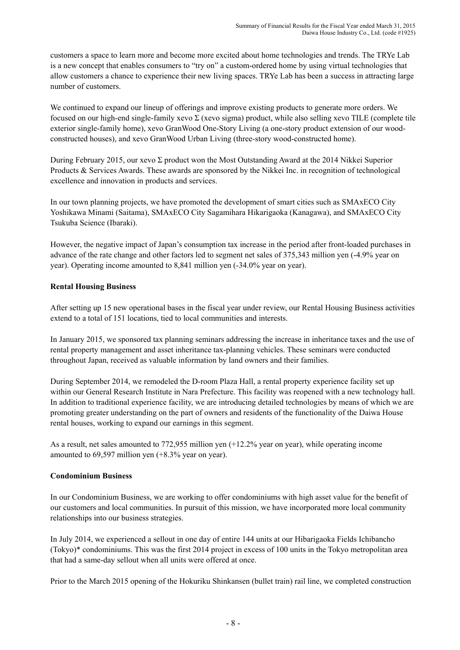customers a space to learn more and become more excited about home technologies and trends. The TRYe Lab is a new concept that enables consumers to "try on" a custom-ordered home by using virtual technologies that allow customers a chance to experience their new living spaces. TRYe Lab has been a success in attracting large number of customers.

We continued to expand our lineup of offerings and improve existing products to generate more orders. We focused on our high-end single-family xevo Σ (xevo sigma) product, while also selling xevo TILE (complete tile exterior single-family home), xevo GranWood One-Story Living (a one-story product extension of our woodconstructed houses), and xevo GranWood Urban Living (three-story wood-constructed home).

During February 2015, our xevo Σ product won the Most Outstanding Award at the 2014 Nikkei Superior Products & Services Awards. These awards are sponsored by the Nikkei Inc. in recognition of technological excellence and innovation in products and services.

In our town planning projects, we have promoted the development of smart cities such as SMAxECO City Yoshikawa Minami (Saitama), SMAxECO City Sagamihara Hikarigaoka (Kanagawa), and SMAxECO City Tsukuba Science (Ibaraki).

However, the negative impact of Japan's consumption tax increase in the period after front-loaded purchases in advance of the rate change and other factors led to segment net sales of 375,343 million yen (-4.9% year on year). Operating income amounted to 8,841 million yen (-34.0% year on year).

# **Rental Housing Business**

After setting up 15 new operational bases in the fiscal year under review, our Rental Housing Business activities extend to a total of 151 locations, tied to local communities and interests.

In January 2015, we sponsored tax planning seminars addressing the increase in inheritance taxes and the use of rental property management and asset inheritance tax-planning vehicles. These seminars were conducted throughout Japan, received as valuable information by land owners and their families.

During September 2014, we remodeled the D-room Plaza Hall, a rental property experience facility set up within our General Research Institute in Nara Prefecture. This facility was reopened with a new technology hall. In addition to traditional experience facility, we are introducing detailed technologies by means of which we are promoting greater understanding on the part of owners and residents of the functionality of the Daiwa House rental houses, working to expand our earnings in this segment.

As a result, net sales amounted to 772,955 million yen (+12.2% year on year), while operating income amounted to 69,597 million yen (+8.3% year on year).

# **Condominium Business**

In our Condominium Business, we are working to offer condominiums with high asset value for the benefit of our customers and local communities. In pursuit of this mission, we have incorporated more local community relationships into our business strategies.

In July 2014, we experienced a sellout in one day of entire 144 units at our Hibarigaoka Fields Ichibancho (Tokyo)\* condominiums. This was the first 2014 project in excess of 100 units in the Tokyo metropolitan area that had a same-day sellout when all units were offered at once.

Prior to the March 2015 opening of the Hokuriku Shinkansen (bullet train) rail line, we completed construction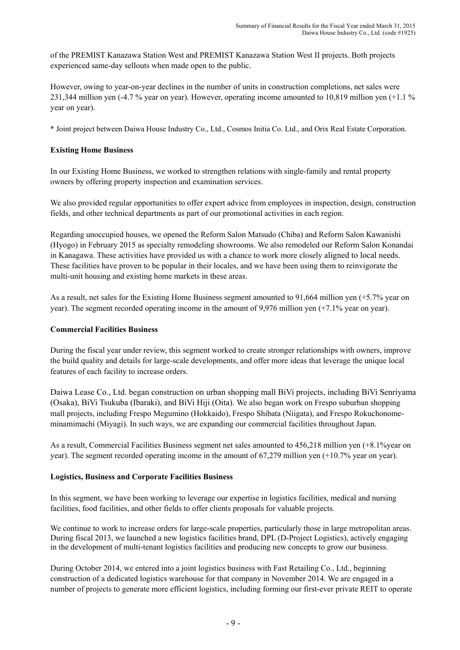of the PREMIST Kanazawa Station West and PREMIST Kanazawa Station West II projects. Both projects experienced same-day sellouts when made open to the public.

However, owing to year-on-year declines in the number of units in construction completions, net sales were 231,344 million yen (-4.7 % year on year). However, operating income amounted to 10,819 million yen (+1.1 % year on year).

\* Joint project between Daiwa House Industry Co., Ltd., Cosmos Initia Co. Ltd., and Orix Real Estate Corporation.

### **Existing Home Business**

In our Existing Home Business, we worked to strengthen relations with single-family and rental property owners by offering property inspection and examination services.

We also provided regular opportunities to offer expert advice from employees in inspection, design, construction fields, and other technical departments as part of our promotional activities in each region.

Regarding unoccupied houses, we opened the Reform Salon Matsudo (Chiba) and Reform Salon Kawanishi (Hyogo) in February 2015 as specialty remodeling showrooms. We also remodeled our Reform Salon Konandai in Kanagawa. These activities have provided us with a chance to work more closely aligned to local needs. These facilities have proven to be popular in their locales, and we have been using them to reinvigorate the multi-unit housing and existing home markets in these areas.

As a result, net sales for the Existing Home Business segment amounted to 91,664 million yen (+5.7% year on year). The segment recorded operating income in the amount of 9,976 million yen (+7.1% year on year).

#### **Commercial Facilities Business**

During the fiscal year under review, this segment worked to create stronger relationships with owners, improve the build quality and details for large-scale developments, and offer more ideas that leverage the unique local features of each facility to increase orders.

Daiwa Lease Co., Ltd. began construction on urban shopping mall BiVi projects, including BiVi Senriyama (Osaka), BiVi Tsukuba (Ibaraki), and BiVi Hiji (Oita). We also began work on Frespo suburban shopping mall projects, including Frespo Megumino (Hokkaido), Frespo Shibata (Niigata), and Frespo Rokuchonomeminamimachi (Miyagi). In such ways, we are expanding our commercial facilities throughout Japan.

As a result, Commercial Facilities Business segment net sales amounted to 456,218 million yen (+8.1%year on year). The segment recorded operating income in the amount of 67,279 million yen (+10.7% year on year).

# **Logistics, Business and Corporate Facilities Business**

In this segment, we have been working to leverage our expertise in logistics facilities, medical and nursing facilities, food facilities, and other fields to offer clients proposals for valuable projects.

We continue to work to increase orders for large-scale properties, particularly those in large metropolitan areas. During fiscal 2013, we launched a new logistics facilities brand, DPL (D-Project Logistics), actively engaging in the development of multi-tenant logistics facilities and producing new concepts to grow our business.

During October 2014, we entered into a joint logistics business with Fast Retailing Co., Ltd., beginning construction of a dedicated logistics warehouse for that company in November 2014. We are engaged in a number of projects to generate more efficient logistics, including forming our first-ever private REIT to operate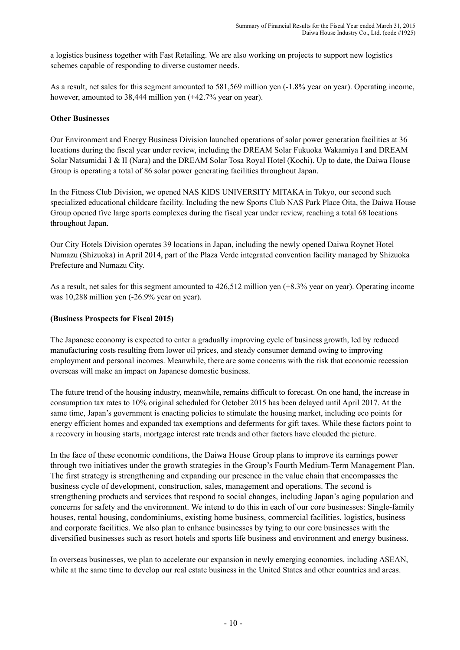a logistics business together with Fast Retailing. We are also working on projects to support new logistics schemes capable of responding to diverse customer needs.

As a result, net sales for this segment amounted to 581,569 million yen (-1.8% year on year). Operating income, however, amounted to 38,444 million yen (+42.7% year on year).

#### **Other Businesses**

Our Environment and Energy Business Division launched operations of solar power generation facilities at 36 locations during the fiscal year under review, including the DREAM Solar Fukuoka Wakamiya I and DREAM Solar Natsumidai I & II (Nara) and the DREAM Solar Tosa Royal Hotel (Kochi). Up to date, the Daiwa House Group is operating a total of 86 solar power generating facilities throughout Japan.

In the Fitness Club Division, we opened NAS KIDS UNIVERSITY MITAKA in Tokyo, our second such specialized educational childcare facility. Including the new Sports Club NAS Park Place Oita, the Daiwa House Group opened five large sports complexes during the fiscal year under review, reaching a total 68 locations throughout Japan.

Our City Hotels Division operates 39 locations in Japan, including the newly opened Daiwa Roynet Hotel Numazu (Shizuoka) in April 2014, part of the Plaza Verde integrated convention facility managed by Shizuoka Prefecture and Numazu City.

As a result, net sales for this segment amounted to 426,512 million yen (+8.3% year on year). Operating income was 10,288 million yen (-26.9% year on year).

#### **(Business Prospects for Fiscal 2015)**

The Japanese economy is expected to enter a gradually improving cycle of business growth, led by reduced manufacturing costs resulting from lower oil prices, and steady consumer demand owing to improving employment and personal incomes. Meanwhile, there are some concerns with the risk that economic recession overseas will make an impact on Japanese domestic business.

The future trend of the housing industry, meanwhile, remains difficult to forecast. On one hand, the increase in consumption tax rates to 10% original scheduled for October 2015 has been delayed until April 2017. At the same time, Japan's government is enacting policies to stimulate the housing market, including eco points for energy efficient homes and expanded tax exemptions and deferments for gift taxes. While these factors point to a recovery in housing starts, mortgage interest rate trends and other factors have clouded the picture.

In the face of these economic conditions, the Daiwa House Group plans to improve its earnings power through two initiatives under the growth strategies in the Group's Fourth Medium-Term Management Plan. The first strategy is strengthening and expanding our presence in the value chain that encompasses the business cycle of development, construction, sales, management and operations. The second is strengthening products and services that respond to social changes, including Japan's aging population and concerns for safety and the environment. We intend to do this in each of our core businesses: Single-family houses, rental housing, condominiums, existing home business, commercial facilities, logistics, business and corporate facilities. We also plan to enhance businesses by tying to our core businesses with the diversified businesses such as resort hotels and sports life business and environment and energy business.

In overseas businesses, we plan to accelerate our expansion in newly emerging economies, including ASEAN, while at the same time to develop our real estate business in the United States and other countries and areas.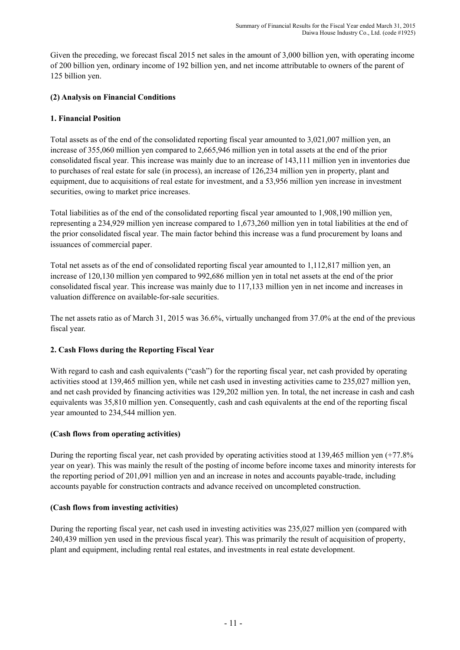Given the preceding, we forecast fiscal 2015 net sales in the amount of 3,000 billion yen, with operating income of 200 billion yen, ordinary income of 192 billion yen, and net income attributable to owners of the parent of 125 billion yen.

# **(2) Analysis on Financial Conditions**

# **1. Financial Position**

Total assets as of the end of the consolidated reporting fiscal year amounted to 3,021,007 million yen, an increase of 355,060 million yen compared to 2,665,946 million yen in total assets at the end of the prior consolidated fiscal year. This increase was mainly due to an increase of 143,111 million yen in inventories due to purchases of real estate for sale (in process), an increase of 126,234 million yen in property, plant and equipment, due to acquisitions of real estate for investment, and a 53,956 million yen increase in investment securities, owing to market price increases.

Total liabilities as of the end of the consolidated reporting fiscal year amounted to 1,908,190 million yen, representing a 234,929 million yen increase compared to 1,673,260 million yen in total liabilities at the end of the prior consolidated fiscal year. The main factor behind this increase was a fund procurement by loans and issuances of commercial paper.

Total net assets as of the end of consolidated reporting fiscal year amounted to 1,112,817 million yen, an increase of 120,130 million yen compared to 992,686 million yen in total net assets at the end of the prior consolidated fiscal year. This increase was mainly due to 117,133 million yen in net income and increases in valuation difference on available-for-sale securities.

The net assets ratio as of March 31, 2015 was 36.6%, virtually unchanged from 37.0% at the end of the previous fiscal year.

# **2. Cash Flows during the Reporting Fiscal Year**

With regard to cash and cash equivalents ("cash") for the reporting fiscal year, net cash provided by operating activities stood at 139,465 million yen, while net cash used in investing activities came to 235,027 million yen, and net cash provided by financing activities was 129,202 million yen. In total, the net increase in cash and cash equivalents was 35,810 million yen. Consequently, cash and cash equivalents at the end of the reporting fiscal year amounted to 234,544 million yen.

# **(Cash flows from operating activities)**

During the reporting fiscal year, net cash provided by operating activities stood at 139,465 million yen (+77.8% year on year). This was mainly the result of the posting of income before income taxes and minority interests for the reporting period of 201,091 million yen and an increase in notes and accounts payable-trade, including accounts payable for construction contracts and advance received on uncompleted construction.

# **(Cash flows from investing activities)**

During the reporting fiscal year, net cash used in investing activities was 235,027 million yen (compared with 240,439 million yen used in the previous fiscal year). This was primarily the result of acquisition of property, plant and equipment, including rental real estates, and investments in real estate development.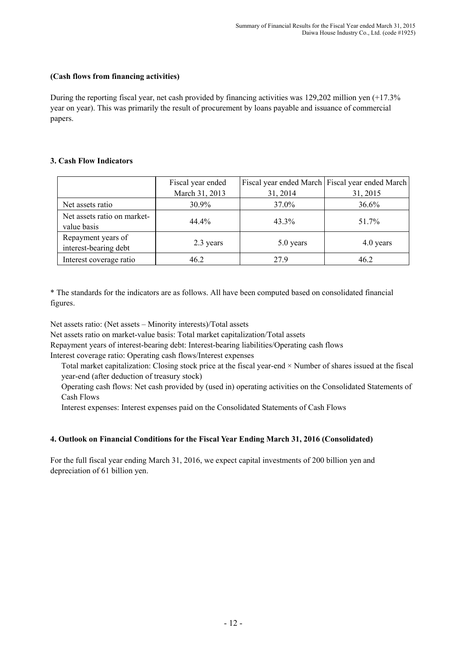### **(Cash flows from financing activities)**

During the reporting fiscal year, net cash provided by financing activities was 129,202 million yen (+17.3% year on year). This was primarily the result of procurement by loans payable and issuance of commercial papers.

#### **3. Cash Flow Indicators**

|                                             | Fiscal year ended<br>March 31, 2013 | 31, 2014  | Fiscal year ended March Fiscal year ended March<br>31, 2015 |
|---------------------------------------------|-------------------------------------|-----------|-------------------------------------------------------------|
| Net assets ratio                            | 30.9%                               | 37.0%     | 36.6%                                                       |
| Net assets ratio on market-<br>value basis  | 44.4%                               | 43.3%     | 51.7%                                                       |
| Repayment years of<br>interest-bearing debt | 2.3 years                           | 5.0 years | 4.0 years                                                   |
| Interest coverage ratio                     | 46.2                                | 279       | 46.2                                                        |

\* The standards for the indicators are as follows. All have been computed based on consolidated financial figures.

Net assets ratio: (Net assets – Minority interests)/Total assets

Net assets ratio on market-value basis: Total market capitalization/Total assets

Repayment years of interest-bearing debt: Interest-bearing liabilities/Operating cash flows

Interest coverage ratio: Operating cash flows/Interest expenses

Total market capitalization: Closing stock price at the fiscal year-end × Number of shares issued at the fiscal year-end (after deduction of treasury stock)

Operating cash flows: Net cash provided by (used in) operating activities on the Consolidated Statements of Cash Flows

Interest expenses: Interest expenses paid on the Consolidated Statements of Cash Flows

# **4. Outlook on Financial Conditions for the Fiscal Year Ending March 31, 2016 (Consolidated)**

For the full fiscal year ending March 31, 2016, we expect capital investments of 200 billion yen and depreciation of 61 billion yen.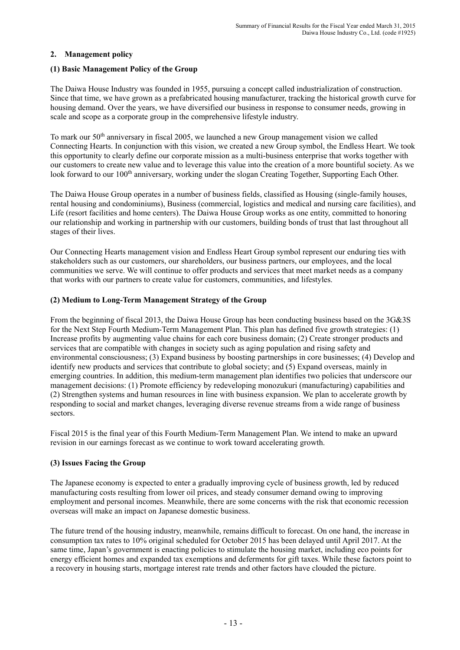# **2. Management policy**

### **(1) Basic Management Policy of the Group**

The Daiwa House Industry was founded in 1955, pursuing a concept called industrialization of construction. Since that time, we have grown as a prefabricated housing manufacturer, tracking the historical growth curve for housing demand. Over the years, we have diversified our business in response to consumer needs, growing in scale and scope as a corporate group in the comprehensive lifestyle industry.

To mark our  $50<sup>th</sup>$  anniversary in fiscal 2005, we launched a new Group management vision we called Connecting Hearts. In conjunction with this vision, we created a new Group symbol, the Endless Heart. We took this opportunity to clearly define our corporate mission as a multi-business enterprise that works together with our customers to create new value and to leverage this value into the creation of a more bountiful society. As we look forward to our 100<sup>th</sup> anniversary, working under the slogan Creating Together, Supporting Each Other.

The Daiwa House Group operates in a number of business fields, classified as Housing (single-family houses, rental housing and condominiums), Business (commercial, logistics and medical and nursing care facilities), and Life (resort facilities and home centers). The Daiwa House Group works as one entity, committed to honoring our relationship and working in partnership with our customers, building bonds of trust that last throughout all stages of their lives.

Our Connecting Hearts management vision and Endless Heart Group symbol represent our enduring ties with stakeholders such as our customers, our shareholders, our business partners, our employees, and the local communities we serve. We will continue to offer products and services that meet market needs as a company that works with our partners to create value for customers, communities, and lifestyles.

#### **(2) Medium to Long-Term Management Strategy of the Group**

From the beginning of fiscal 2013, the Daiwa House Group has been conducting business based on the 3G&3S for the Next Step Fourth Medium-Term Management Plan. This plan has defined five growth strategies: (1) Increase profits by augmenting value chains for each core business domain; (2) Create stronger products and services that are compatible with changes in society such as aging population and rising safety and environmental consciousness; (3) Expand business by boosting partnerships in core businesses; (4) Develop and identify new products and services that contribute to global society; and (5) Expand overseas, mainly in emerging countries. In addition, this medium-term management plan identifies two policies that underscore our management decisions: (1) Promote efficiency by redeveloping monozukuri (manufacturing) capabilities and (2) Strengthen systems and human resources in line with business expansion. We plan to accelerate growth by responding to social and market changes, leveraging diverse revenue streams from a wide range of business sectors.

Fiscal 2015 is the final year of this Fourth Medium-Term Management Plan. We intend to make an upward revision in our earnings forecast as we continue to work toward accelerating growth.

# **(3) Issues Facing the Group**

The Japanese economy is expected to enter a gradually improving cycle of business growth, led by reduced manufacturing costs resulting from lower oil prices, and steady consumer demand owing to improving employment and personal incomes. Meanwhile, there are some concerns with the risk that economic recession overseas will make an impact on Japanese domestic business.

The future trend of the housing industry, meanwhile, remains difficult to forecast. On one hand, the increase in consumption tax rates to 10% original scheduled for October 2015 has been delayed until April 2017. At the same time, Japan's government is enacting policies to stimulate the housing market, including eco points for energy efficient homes and expanded tax exemptions and deferments for gift taxes. While these factors point to a recovery in housing starts, mortgage interest rate trends and other factors have clouded the picture.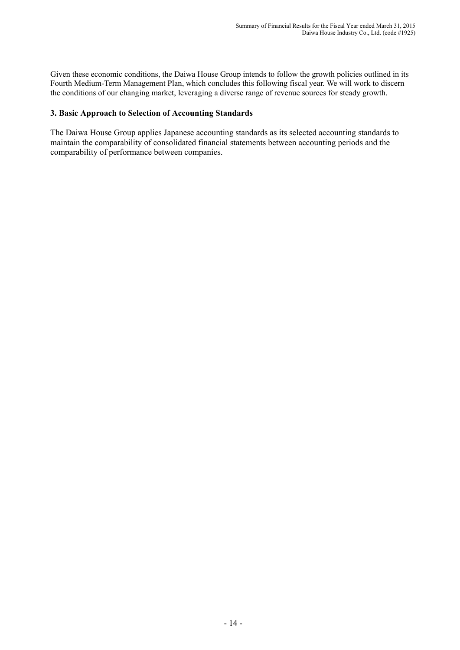Given these economic conditions, the Daiwa House Group intends to follow the growth policies outlined in its Fourth Medium-Term Management Plan, which concludes this following fiscal year. We will work to discern the conditions of our changing market, leveraging a diverse range of revenue sources for steady growth.

### **3. Basic Approach to Selection of Accounting Standards**

The Daiwa House Group applies Japanese accounting standards as its selected accounting standards to maintain the comparability of consolidated financial statements between accounting periods and the comparability of performance between companies.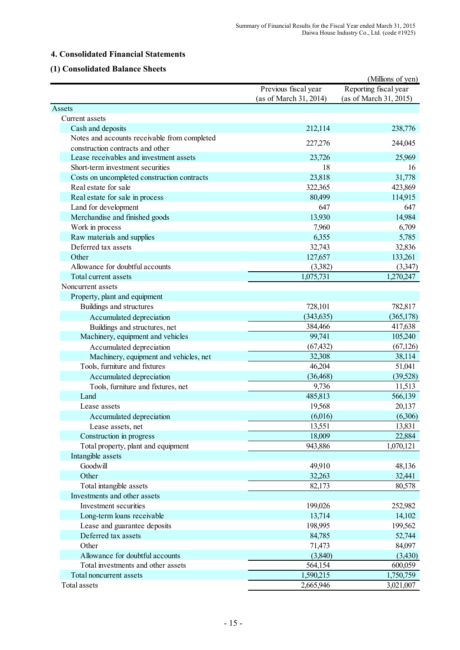# **4. Consolidated Financial Statements**

# **(1) Consolidated Balance Sheets**

|                                              |                        | (Millions of yen)      |
|----------------------------------------------|------------------------|------------------------|
|                                              | Previous fiscal year   | Reporting fiscal year  |
|                                              | (as of March 31, 2014) | (as of March 31, 2015) |
| Assets                                       |                        |                        |
| Current assets                               |                        |                        |
| Cash and deposits                            | 212,114                | 238,776                |
| Notes and accounts receivable from completed | 227,276                | 244,045                |
| construction contracts and other             |                        |                        |
| Lease receivables and investment assets      | 23,726                 | 25,969                 |
| Short-term investment securities             | 18                     | 16                     |
| Costs on uncompleted construction contracts  | 23,818                 | 31,778                 |
| Real estate for sale                         | 322,365                | 423,869                |
| Real estate for sale in process              | 80,499                 | 114,915                |
| Land for development                         | 647                    | 647                    |
| Merchandise and finished goods               | 13,930                 | 14,984                 |
| Work in process                              | 7,960                  | 6,709                  |
| Raw materials and supplies                   | 6,355                  | 5,785                  |
| Deferred tax assets                          | 32,743                 | 32,836                 |
| Other                                        | 127,657                | 133,261                |
| Allowance for doubtful accounts              | (3,382)                | (3,347)                |
| Total current assets                         | 1,075,731              | 1,270,247              |
| Noncurrent assets                            |                        |                        |
| Property, plant and equipment                |                        |                        |
| Buildings and structures                     | 728,101                | 782,817                |
| Accumulated depreciation                     | (343, 635)             | (365, 178)             |
| Buildings and structures, net                | 384,466                | 417,638                |
| Machinery, equipment and vehicles            | 99,741                 | 105,240                |
| Accumulated depreciation                     | (67, 432)              | (67, 126)              |
| Machinery, equipment and vehicles, net       | 32,308                 | 38,114                 |
| Tools, furniture and fixtures                | 46,204                 | 51,041                 |
| Accumulated depreciation                     | (36, 468)              | (39, 528)              |
| Tools, furniture and fixtures, net           | 9,736                  | 11,513                 |
| Land                                         | 485,813                | 566,139                |
| Lease assets                                 | 19,568                 | 20,137                 |
| Accumulated depreciation                     | (6,016)                | (6,306)                |
| Lease assets, net                            | 13,551                 | 13,831                 |
| Construction in progress                     | 18,009                 | 22,884                 |
| Total property, plant and equipment          | 943,886                | 1,070,121              |
| Intangible assets                            |                        |                        |
| Goodwill                                     | 49,910                 | 48,136                 |
| Other                                        | 32,263                 | 32,441                 |
| Total intangible assets                      | 82,173                 | 80,578                 |
| Investments and other assets                 |                        |                        |
| Investment securities                        | 199,026                | 252,982                |
| Long-term loans receivable                   | 13,714                 | 14,102                 |
| Lease and guarantee deposits                 | 198,995                | 199,562                |
| Deferred tax assets                          | 84,785                 | 52,744                 |
| Other                                        | 71,473                 | 84,097                 |
| Allowance for doubtful accounts              | (3,840)                | (3,430)                |
| Total investments and other assets           | 564,154                | 600,059                |
| Total noncurrent assets                      | 1,590,215              | 1,750,759              |
| Total assets                                 | 2,665,946              | 3,021,007              |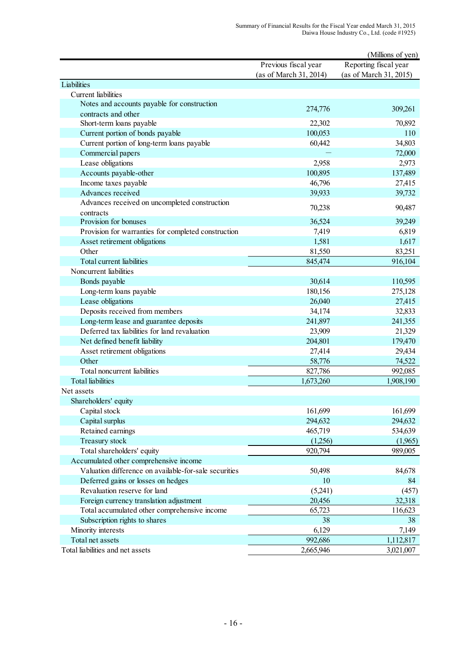|                                                       |                        | (Millions of yen)      |
|-------------------------------------------------------|------------------------|------------------------|
|                                                       | Previous fiscal year   | Reporting fiscal year  |
|                                                       | (as of March 31, 2014) | (as of March 31, 2015) |
| Liabilities                                           |                        |                        |
| <b>Current</b> liabilities                            |                        |                        |
| Notes and accounts payable for construction           | 274,776                | 309,261                |
| contracts and other                                   |                        |                        |
| Short-term loans payable                              | 22,302                 | 70,892                 |
| Current portion of bonds payable                      | 100,053                | 110                    |
| Current portion of long-term loans payable            | 60,442                 | 34,803                 |
| Commercial papers                                     |                        | 72,000                 |
| Lease obligations                                     | 2,958                  | 2,973                  |
| Accounts payable-other                                | 100,895                | 137,489                |
| Income taxes payable                                  | 46,796                 | 27,415                 |
| Advances received                                     | 39,933                 | 39,732                 |
| Advances received on uncompleted construction         |                        |                        |
| contracts                                             | 70,238                 | 90,487                 |
| Provision for bonuses                                 | 36,524                 | 39,249                 |
| Provision for warranties for completed construction   | 7,419                  | 6,819                  |
| Asset retirement obligations                          | 1,581                  | 1,617                  |
| Other                                                 | 81,550                 | 83,251                 |
| Total current liabilities                             | 845,474                | 916,104                |
| Noncurrent liabilities                                |                        |                        |
| Bonds payable                                         | 30,614                 | 110,595                |
| Long-term loans payable                               | 180,156                | 275,128                |
| Lease obligations                                     | 26,040                 | 27,415                 |
| Deposits received from members                        | 34,174                 | 32,833                 |
| Long-term lease and guarantee deposits                | 241,897                | 241,355                |
| Deferred tax liabilities for land revaluation         | 23,909                 | 21,329                 |
| Net defined benefit liability                         | 204,801                | 179,470                |
| Asset retirement obligations                          | 27,414                 | 29,434                 |
| Other                                                 | 58,776                 | 74,522                 |
| Total noncurrent liabilities                          | 827,786                | 992,085                |
| <b>Total liabilities</b>                              | 1,673,260              | 1,908,190              |
| Net assets                                            |                        |                        |
| Shareholders' equity                                  |                        |                        |
| Capital stock                                         | 161,699                | 161,699                |
| Capital surplus                                       | 294,632                | 294,632                |
| Retained earnings                                     | 465,719                | 534,639                |
| Treasury stock                                        | (1,256)                | (1,965)                |
| Total shareholders' equity                            | 920,794                | 989,005                |
| Accumulated other comprehensive income                |                        |                        |
| Valuation difference on available-for-sale securities | 50,498                 | 84,678                 |
| Deferred gains or losses on hedges                    | 10                     | 84                     |
| Revaluation reserve for land                          | (5,241)                | (457)                  |
|                                                       | 20,456                 |                        |
| Foreign currency translation adjustment               |                        | 32,318                 |
| Total accumulated other comprehensive income          | 65,723<br>38           | 116,623<br>38          |
| Subscription rights to shares                         |                        |                        |
| Minority interests<br>Total net assets                | 6,129                  | 7,149                  |
|                                                       | 992,686                | 1,112,817              |
| Total liabilities and net assets                      | 2,665,946              | 3,021,007              |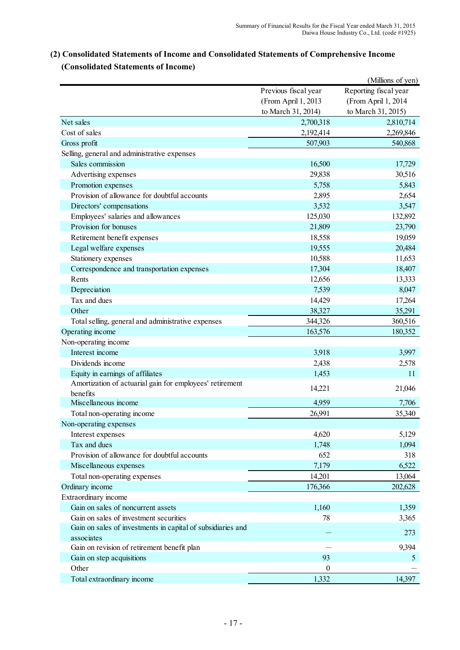|                                                             |                      | (Millions of yen)     |
|-------------------------------------------------------------|----------------------|-----------------------|
|                                                             | Previous fiscal year | Reporting fiscal year |
|                                                             | (From April 1, 2013  | (From April 1, 2014   |
|                                                             | to March 31, 2014)   | to March 31, 2015)    |
| Net sales                                                   | 2,700,318            | 2,810,714             |
| Cost of sales                                               | 2,192,414            | 2,269,846             |
| Gross profit                                                | 507,903              | 540,868               |
| Selling, general and administrative expenses                |                      |                       |
| Sales commission                                            | 16,500               | 17,729                |
| Advertising expenses                                        | 29,838               | 30,516                |
| Promotion expenses                                          | 5,758                | 5,843                 |
| Provision of allowance for doubtful accounts                | 2,895                | 2,654                 |
| Directors' compensations                                    | 3,532                | 3,547                 |
| Employees' salaries and allowances                          | 125,030              | 132,892               |
| Provision for bonuses                                       | 21,809               | 23,790                |
| Retirement benefit expenses                                 | 18,558               | 19,059                |
| Legal welfare expenses                                      | 19,555               | 20,484                |
| Stationery expenses                                         | 10,588               | 11,653                |
| Correspondence and transportation expenses                  | 17,304               | 18,407                |
| Rents                                                       | 12,656               | 13,333                |
| Depreciation                                                | 7,539                | 8,047                 |
| Tax and dues                                                | 14,429               | 17,264                |
| Other                                                       | 38,327               | 35,291                |
| Total selling, general and administrative expenses          | 344,326              | 360,516               |
| Operating income                                            | 163,576              | 180,352               |
| Non-operating income                                        |                      |                       |
| Interest income                                             | 3,918                | 3,997                 |
| Dividends income                                            | 2,438                | 2,578                 |
| Equity in earnings of affiliates                            | 1,453                | 11                    |
| Amortization of actuarial gain for employees' retirement    |                      |                       |
| benefits                                                    | 14,221               | 21,046                |
| Miscellaneous income                                        | 4,959                | 7,706                 |
| Total non-operating income                                  | 26,991               | 35,340                |
| Non-operating expenses                                      |                      |                       |
| Interest expenses                                           | 4,620                | 5,129                 |
| Tax and dues                                                | 1,748                | 1,094                 |
| Provision of allowance for doubtful accounts                | 652                  | 318                   |
| Miscellaneous expenses                                      | 7,179                | 6,522                 |
| Total non-operating expenses                                | 14,201               | 13,064                |
| Ordinary income                                             | 176,366              | 202,628               |
| Extraordinary income                                        |                      |                       |
| Gain on sales of noncurrent assets                          | 1,160                | 1,359                 |
| Gain on sales of investment securities                      | 78                   | 3,365                 |
| Gain on sales of investments in capital of subsidiaries and |                      |                       |
| associates                                                  |                      | 273                   |
| Gain on revision of retirement benefit plan                 |                      | 9,394                 |
| Gain on step acquisitions                                   | 93                   | 5                     |
| Other                                                       | $\boldsymbol{0}$     |                       |
| Total extraordinary income                                  | 1,332                | 14,397                |

# **(2) Consolidated Statements of Income and Consolidated Statements of Comprehensive Income (Consolidated Statements of Income)**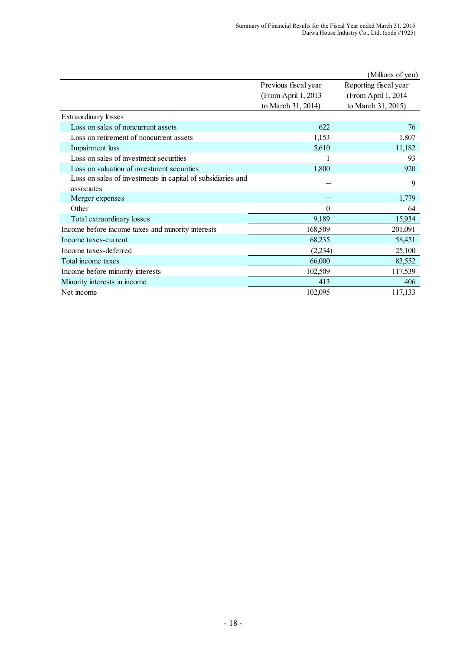|                                                             |                      | (Millions of yen)     |
|-------------------------------------------------------------|----------------------|-----------------------|
|                                                             | Previous fiscal year | Reporting fiscal year |
|                                                             | (From April 1, 2013) | (From April 1, 2014)  |
|                                                             | to March 31, 2014)   | to March 31, 2015)    |
| <b>Extraordinary losses</b>                                 |                      |                       |
| Loss on sales of noncurrent assets                          | 622                  | 76                    |
| Loss on retirement of noncurrent assets                     | 1,153                | 1,807                 |
| Impairment loss                                             | 5,610                | 11,182                |
| Loss on sales of investment securities                      |                      | 93                    |
| Loss on valuation of investment securities                  | 1,800                | 920                   |
| Loss on sales of investments in capital of subsidiaries and |                      | 9                     |
| associates                                                  |                      |                       |
| Merger expenses                                             |                      | 1,779                 |
| Other                                                       | 0                    | 64                    |
| Total extraordinary losses                                  | 9,189                | 15,934                |
| Income before income taxes and minority interests           | 168,509              | 201,091               |
| Income taxes-current                                        | 68,235               | 58,451                |
| Income taxes-deferred                                       | (2,234)              | 25,100                |
| Total income taxes                                          | 66,000               | 83,552                |
| Income before minority interests                            | 102,509              | 117,539               |
| Minority interests in income                                | 413                  | 406                   |
| Net income                                                  | 102,095              | 117,133               |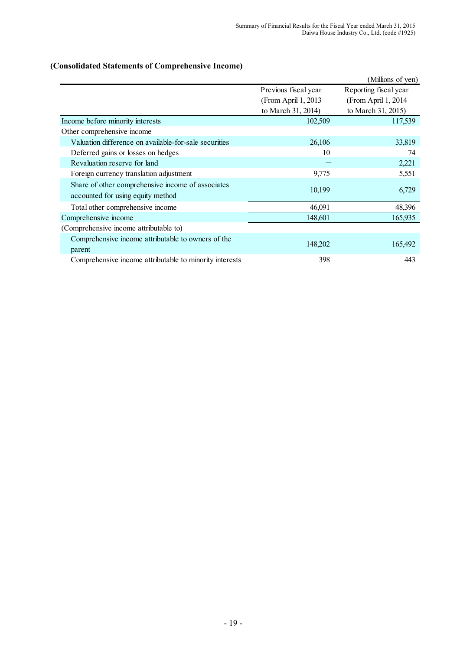# **(Consolidated Statements of Comprehensive Income)**

|                                                                                        |                      | (Millions of yen)     |
|----------------------------------------------------------------------------------------|----------------------|-----------------------|
|                                                                                        | Previous fiscal year | Reporting fiscal year |
|                                                                                        | (From April 1, 2013  | (From April 1, 2014)  |
|                                                                                        | to March 31, 2014)   | to March 31, 2015)    |
| Income before minority interests                                                       | 102,509              | 117,539               |
| Other comprehensive income                                                             |                      |                       |
| Valuation difference on available-for-sale securities                                  | 26,106               | 33,819                |
| Deferred gains or losses on hedges                                                     | 10                   | 74                    |
| Revaluation reserve for land                                                           |                      | 2,221                 |
| Foreign currency translation adjustment                                                | 9,775                | 5,551                 |
| Share of other comprehensive income of associates<br>accounted for using equity method | 10,199               | 6,729                 |
| Total other comprehensive income                                                       | 46,091               | 48,396                |
| Comprehensive income                                                                   | 148,601              | 165,935               |
| (Comprehensive income attributable to)                                                 |                      |                       |
| Comprehensive income attributable to owners of the<br>parent                           | 148,202              | 165,492               |
| Comprehensive income attributable to minority interests                                | 398                  | 443                   |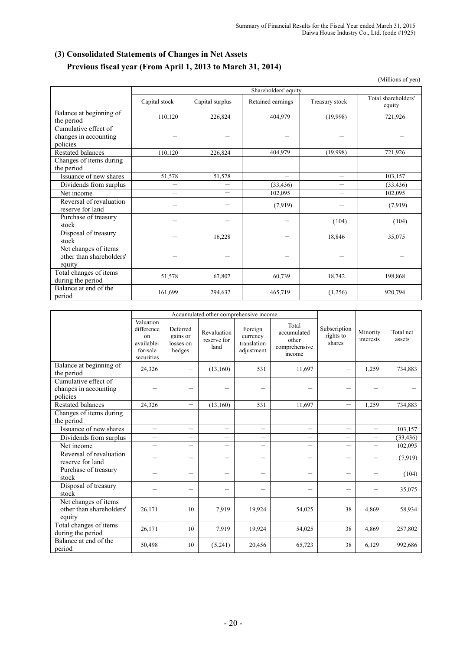# **(3) Consolidated Statements of Changes in Net Assets Previous fiscal year (From April 1, 2013 to March 31, 2014)**

(Millions of yen)

|                                       | Shareholders' equity     |                          |                   |                          |                               |  |  |  |
|---------------------------------------|--------------------------|--------------------------|-------------------|--------------------------|-------------------------------|--|--|--|
|                                       | Capital stock            | Capital surplus          | Retained earnings | Treasury stock           | Total shareholders'<br>equity |  |  |  |
| Balance at beginning of<br>the period | 110,120                  | 226,824                  | 404,979           | (19,998)                 | 721,926                       |  |  |  |
| Cumulative effect of                  |                          |                          |                   |                          |                               |  |  |  |
| changes in accounting                 |                          |                          |                   |                          |                               |  |  |  |
| policies                              |                          |                          |                   |                          |                               |  |  |  |
| <b>Restated balances</b>              | 110,120                  | 226,824                  | 404,979           | (19,998)                 | 721,926                       |  |  |  |
| Changes of items during               |                          |                          |                   |                          |                               |  |  |  |
| the period                            |                          |                          |                   |                          |                               |  |  |  |
| Issuance of new shares                | 51,578                   | 51,578                   | $\equiv$          | $\equiv$                 | 103,157                       |  |  |  |
| Dividends from surplus                | $\overline{\phantom{0}}$ | $\overline{\phantom{0}}$ | (33, 436)         | $\overline{\phantom{0}}$ | (33, 436)                     |  |  |  |
| Net income                            | $\equiv$                 |                          | 102,095           | $\overline{\phantom{0}}$ | 102,095                       |  |  |  |
| Reversal of revaluation               |                          |                          |                   |                          |                               |  |  |  |
| reserve for land                      |                          |                          | (7,919)           |                          | (7,919)                       |  |  |  |
| Purchase of treasury                  |                          |                          |                   | (104)                    | (104)                         |  |  |  |
| stock                                 |                          |                          |                   |                          |                               |  |  |  |
| Disposal of treasury                  |                          | 16,228                   |                   | 18,846                   | 35,075                        |  |  |  |
| stock                                 |                          |                          |                   |                          |                               |  |  |  |
| Net changes of items                  |                          |                          |                   |                          |                               |  |  |  |
| other than shareholders'              |                          |                          |                   |                          |                               |  |  |  |
| equity                                |                          |                          |                   |                          |                               |  |  |  |
| Total changes of items                | 51,578                   | 67,807                   | 60,739            | 18,742                   | 198,868                       |  |  |  |
| during the period                     |                          |                          |                   |                          |                               |  |  |  |
| Balance at end of the                 | 161,699                  | 294,632                  | 465,719           | (1,256)                  | 920,794                       |  |  |  |
| period                                |                          |                          |                   |                          |                               |  |  |  |

|                                                            | Accumulated other comprehensive income                                |                                             |                                    |                                                  |                                                          |                                     |                          |                     |
|------------------------------------------------------------|-----------------------------------------------------------------------|---------------------------------------------|------------------------------------|--------------------------------------------------|----------------------------------------------------------|-------------------------------------|--------------------------|---------------------|
|                                                            | Valuation<br>difference<br>on<br>available-<br>for-sale<br>securities | Deferred<br>gains or<br>losses on<br>hedges | Revaluation<br>reserve for<br>land | Foreign<br>currency<br>translation<br>adjustment | Total<br>accumulated<br>other<br>comprehensive<br>income | Subscription<br>rights to<br>shares | Minority<br>interests    | Total net<br>assets |
| Balance at beginning of<br>the period                      | 24,326                                                                | $\overline{\phantom{0}}$                    | (13,160)                           | 531                                              | 11,697                                                   |                                     | 1,259                    | 734,883             |
| Cumulative effect of<br>changes in accounting<br>policies  |                                                                       |                                             |                                    |                                                  |                                                          |                                     |                          |                     |
| <b>Restated balances</b>                                   | 24,326                                                                | $\equiv$                                    | (13,160)                           | 531                                              | 11,697                                                   | $\overline{\phantom{0}}$            | 1,259                    | 734,883             |
| Changes of items during<br>the period                      |                                                                       |                                             |                                    |                                                  |                                                          |                                     |                          |                     |
| Issuance of new shares                                     | $\overline{\phantom{0}}$                                              | $\equiv$                                    | $\overline{\phantom{0}}$           |                                                  |                                                          | $\overline{\phantom{0}}$            | $\overline{\phantom{0}}$ | 103,157             |
| Dividends from surplus                                     | —                                                                     | —                                           |                                    |                                                  | —                                                        | $\overline{\phantom{0}}$            |                          | (33, 436)           |
| Net income                                                 | $\equiv$                                                              | $\equiv$                                    |                                    |                                                  | $\equiv$                                                 | $\overline{\phantom{0}}$            |                          | 102,095             |
| Reversal of revaluation<br>reserve for land                |                                                                       | $\overline{\phantom{0}}$                    |                                    | -                                                | —                                                        | —                                   | —                        | (7,919)             |
| Purchase of treasury<br>stock                              |                                                                       |                                             |                                    |                                                  |                                                          |                                     |                          | (104)               |
| Disposal of treasury<br>stock                              |                                                                       | $\overline{\phantom{0}}$                    |                                    |                                                  |                                                          |                                     |                          | 35,075              |
| Net changes of items<br>other than shareholders'<br>equity | 26,171                                                                | 10                                          | 7,919                              | 19,924                                           | 54,025                                                   | 38                                  | 4,869                    | 58,934              |
| Total changes of items<br>during the period                | 26,171                                                                | 10                                          | 7,919                              | 19,924                                           | 54,025                                                   | 38                                  | 4,869                    | 257,802             |
| Balance at end of the<br>period                            | 50,498                                                                | 10                                          | (5,241)                            | 20,456                                           | 65,723                                                   | 38                                  | 6,129                    | 992,686             |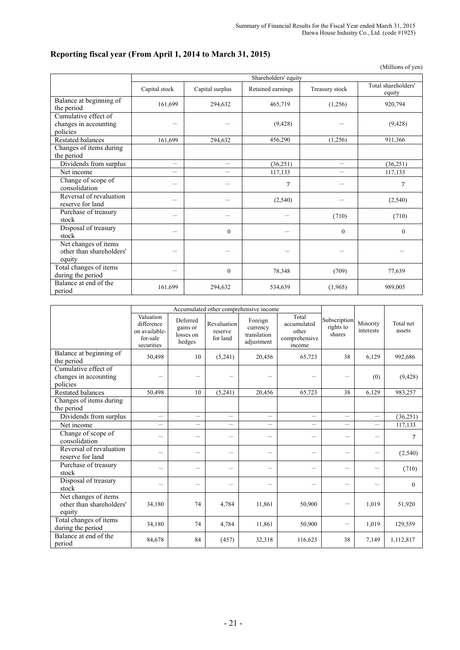# **Reporting fiscal year (From April 1, 2014 to March 31, 2015)**

(Millions of yen)

|                                                            |               |                 | Shareholders' equity |                |                               |
|------------------------------------------------------------|---------------|-----------------|----------------------|----------------|-------------------------------|
|                                                            | Capital stock | Capital surplus | Retained earnings    | Treasury stock | Total shareholders'<br>equity |
| Balance at beginning of<br>the period                      | 161,699       | 294,632         | 465,719              | (1,256)        | 920,794                       |
| Cumulative effect of<br>changes in accounting<br>policies  |               |                 | (9, 428)             |                | (9, 428)                      |
| <b>Restated balances</b>                                   | 161.699       | 294,632         | 456,290              | (1,256)        | 911,366                       |
| Changes of items during<br>the period                      |               |                 |                      |                |                               |
| Dividends from surplus                                     | $\equiv$      | $\equiv$        | (36,251)             | $\equiv$       | (36, 251)                     |
| Net income                                                 |               |                 | 117,133              |                | 117,133                       |
| Change of scope of<br>consolidation                        |               |                 | 7                    |                | 7                             |
| Reversal of revaluation<br>reserve for land                |               |                 | (2,540)              |                | (2, 540)                      |
| Purchase of treasury<br>stock                              |               |                 |                      | (710)          | (710)                         |
| Disposal of treasury<br>stock                              |               | $\mathbf{0}$    |                      | $\mathbf{0}$   | $\mathbf{0}$                  |
| Net changes of items<br>other than shareholders'<br>equity |               |                 |                      |                |                               |
| Total changes of items<br>during the period                |               | $\mathbf{0}$    | 78,348               | (709)          | 77,639                        |
| Balance at end of the<br>period                            | 161,699       | 294,632         | 534,639              | (1,965)        | 989,005                       |

|                                                            |                                                                    |                                             | Accumulated other comprehensive income |                                                  |                                                          |                                     |                          |                     |
|------------------------------------------------------------|--------------------------------------------------------------------|---------------------------------------------|----------------------------------------|--------------------------------------------------|----------------------------------------------------------|-------------------------------------|--------------------------|---------------------|
|                                                            | Valuation<br>difference<br>on available-<br>for-sale<br>securities | Deferred<br>gains or<br>losses on<br>hedges | Revaluation<br>reserve<br>for land     | Foreign<br>currency<br>translation<br>adjustment | Total<br>accumulated<br>other<br>comprehensive<br>income | Subscription<br>rights to<br>shares | Minority<br>interests    | Total net<br>assets |
| Balance at beginning of<br>the period                      | 50,498                                                             | 10                                          | (5,241)                                | 20,456                                           | 65,723                                                   | 38                                  | 6,129                    | 992,686             |
| Cumulative effect of<br>changes in accounting<br>policies  |                                                                    |                                             |                                        |                                                  |                                                          | $\overline{\phantom{0}}$            | (0)                      | (9, 428)            |
| Restated balances                                          | 50,498                                                             | 10                                          | (5,241)                                | 20,456                                           | 65,723                                                   | 38                                  | 6,129                    | 983,257             |
| Changes of items during<br>the period                      |                                                                    |                                             |                                        |                                                  |                                                          |                                     |                          |                     |
| Dividends from surplus                                     | $\equiv$                                                           | $\overline{\phantom{0}}$                    | $\equiv$                               | $\overline{\phantom{0}}$                         | $\equiv$                                                 | $\equiv$                            | $\overline{\phantom{0}}$ | (36,251)            |
| Net income                                                 | $\overline{\phantom{0}}$                                           |                                             | $\overline{\phantom{0}}$               | $\overline{\phantom{0}}$                         |                                                          | $\overline{\phantom{0}}$            |                          | 117,133             |
| Change of scope of<br>consolidation                        |                                                                    |                                             | $\overline{\phantom{0}}$               |                                                  |                                                          |                                     |                          | 7                   |
| Reversal of revaluation<br>reserve for land                | $\overline{\phantom{0}}$                                           | $\overline{\phantom{0}}$                    | $\overline{\phantom{0}}$               | $\overline{\phantom{0}}$                         |                                                          | $\overline{\phantom{0}}$            | —                        | (2,540)             |
| Purchase of treasury<br>stock                              |                                                                    |                                             | $\overline{\phantom{0}}$               |                                                  |                                                          |                                     |                          | (710)               |
| Disposal of treasury<br>stock                              | -                                                                  |                                             | $\overline{\phantom{0}}$               |                                                  |                                                          |                                     |                          | $\mathbf{0}$        |
| Net changes of items<br>other than shareholders'<br>equity | 34,180                                                             | 74                                          | 4,784                                  | 11,861                                           | 50,900                                                   |                                     | 1,019                    | 51,920              |
| Total changes of items<br>during the period                | 34,180                                                             | 74                                          | 4,784                                  | 11,861                                           | 50,900                                                   | —                                   | 1,019                    | 129,559             |
| Balance at end of the<br>period                            | 84,678                                                             | 84                                          | (457)                                  | 32,318                                           | 116,623                                                  | 38                                  | 7,149                    | 1,112,817           |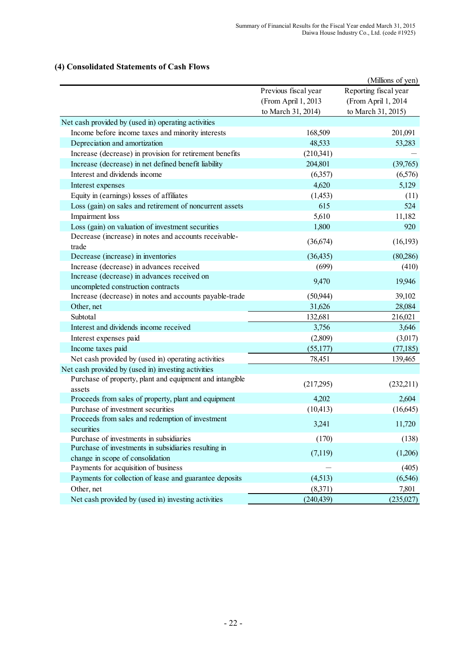#### (Millions of yen) Previous fiscal year Reporting fiscal year (From April 1, 2013 (From April 1, 2014 to March 31, 2014) to March 31, 2015) 168,509 201,091 48,533 53,283  $(210,341)$ 204,801 (39,765) (6,357) (6,576) 4,620 5,129  $(1,453)$  (11) 615 524 5,610 11,182 1,800 920 (36,674) (16,193) (36,435) (80,286) (699) (410) 9,470 19,946 (50,944) 39,102 31,626 28,084 132,681 216,021 3,756 3,646  $(2,809)$   $(3,017)$  $(55,177)$  (77,185) 78,451 139,465 (217,295) (232,211) 4,202 2,604  $(10,413)$   $(16,645)$ 3,241 11,720 (170) (138)  $(7,119)$   $(1,206)$ Payments for acquisition of business  $-$  (405) Payments for collection of lease and guarantee deposits (4,513) (6,546) (8,371) 7,801 (240,439) (235,027) Net cash provided by (used in) operating activities Income before income taxes and minority interests Depreciation and amortization Increase (decrease) in provision for retirement benefits Increase (decrease) in net defined benefit liability Interest and dividends income Interest expenses Equity in (earnings) losses of affiliates Loss (gain) on sales and retirement of noncurrent assets Impairment loss Loss (gain) on valuation of investment securities Decrease (increase) in notes and accounts receivabletrade Decrease (increase) in inventories Increase (decrease) in advances received Increase (decrease) in advances received on uncompleted construction contracts Increase (decrease) in notes and accounts payable-trade Other, net Subtotal Interest and dividends income received Interest expenses paid Income taxes paid Net cash provided by (used in) operating activities Net cash provided by (used in) investing activities Purchase of property, plant and equipment and intangible assets Proceeds from sales of property, plant and equipment Purchase of investment securities Proceeds from sales and redemption of investment securities Purchase of investments in subsidiaries Purchase of investments in subsidiaries resulting in change in scope of consolidation Other, net Net cash provided by (used in) investing activities

# **(4) Consolidated Statements of Cash Flows**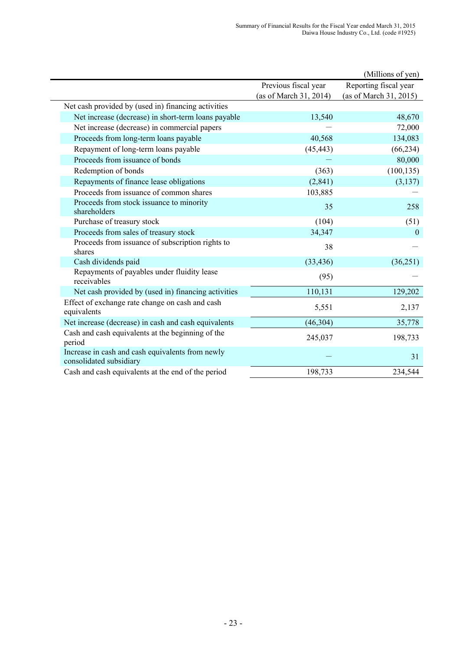|                                                                             |                        | (Millions of yen)      |
|-----------------------------------------------------------------------------|------------------------|------------------------|
|                                                                             | Previous fiscal year   | Reporting fiscal year  |
|                                                                             | (as of March 31, 2014) | (as of March 31, 2015) |
| Net cash provided by (used in) financing activities                         |                        |                        |
| Net increase (decrease) in short-term loans payable                         | 13,540                 | 48,670                 |
| Net increase (decrease) in commercial papers                                |                        | 72,000                 |
| Proceeds from long-term loans payable                                       | 40,568                 | 134,083                |
| Repayment of long-term loans payable                                        | (45, 443)              | (66, 234)              |
| Proceeds from issuance of bonds                                             |                        | 80,000                 |
| Redemption of bonds                                                         | (363)                  | (100, 135)             |
| Repayments of finance lease obligations                                     | (2, 841)               | (3, 137)               |
| Proceeds from issuance of common shares                                     | 103,885                |                        |
| Proceeds from stock issuance to minority<br>shareholders                    | 35                     | 258                    |
| Purchase of treasury stock                                                  | (104)                  | (51)                   |
| Proceeds from sales of treasury stock                                       | 34,347                 | $\mathbf{0}$           |
| Proceeds from issuance of subscription rights to<br>shares                  | 38                     |                        |
| Cash dividends paid                                                         | (33, 436)              | (36, 251)              |
| Repayments of payables under fluidity lease<br>receivables                  | (95)                   |                        |
| Net cash provided by (used in) financing activities                         | 110,131                | 129,202                |
| Effect of exchange rate change on cash and cash<br>equivalents              | 5,551                  | 2,137                  |
| Net increase (decrease) in cash and cash equivalents                        | (46, 304)              | 35,778                 |
| Cash and cash equivalents at the beginning of the<br>period                 | 245,037                | 198,733                |
| Increase in cash and cash equivalents from newly<br>consolidated subsidiary |                        | 31                     |
| Cash and cash equivalents at the end of the period                          | 198,733                | 234,544                |
|                                                                             |                        |                        |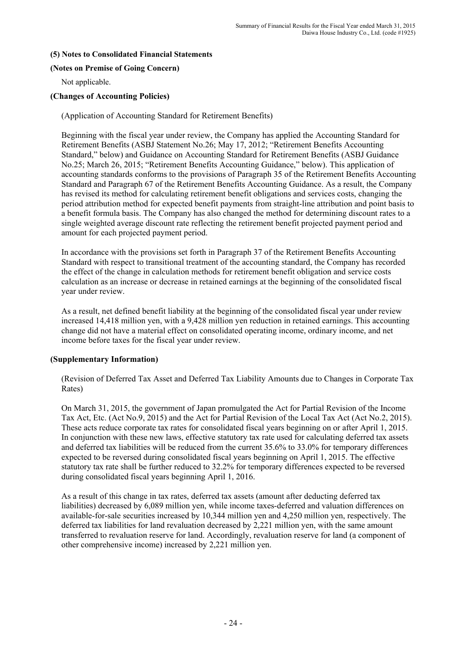#### **(5) Notes to Consolidated Financial Statements**

#### **(Notes on Premise of Going Concern)**

Not applicable.

### **(Changes of Accounting Policies)**

(Application of Accounting Standard for Retirement Benefits)

Beginning with the fiscal year under review, the Company has applied the Accounting Standard for Retirement Benefits (ASBJ Statement No.26; May 17, 2012; "Retirement Benefits Accounting Standard," below) and Guidance on Accounting Standard for Retirement Benefits (ASBJ Guidance No.25; March 26, 2015; "Retirement Benefits Accounting Guidance," below). This application of accounting standards conforms to the provisions of Paragraph 35 of the Retirement Benefits Accounting Standard and Paragraph 67 of the Retirement Benefits Accounting Guidance. As a result, the Company has revised its method for calculating retirement benefit obligations and services costs, changing the period attribution method for expected benefit payments from straight-line attribution and point basis to a benefit formula basis. The Company has also changed the method for determining discount rates to a single weighted average discount rate reflecting the retirement benefit projected payment period and amount for each projected payment period.

In accordance with the provisions set forth in Paragraph 37 of the Retirement Benefits Accounting Standard with respect to transitional treatment of the accounting standard, the Company has recorded the effect of the change in calculation methods for retirement benefit obligation and service costs calculation as an increase or decrease in retained earnings at the beginning of the consolidated fiscal year under review.

As a result, net defined benefit liability at the beginning of the consolidated fiscal year under review increased 14,418 million yen, with a 9,428 million yen reduction in retained earnings. This accounting change did not have a material effect on consolidated operating income, ordinary income, and net income before taxes for the fiscal year under review.

# **(Supplementary Information)**

(Revision of Deferred Tax Asset and Deferred Tax Liability Amounts due to Changes in Corporate Tax Rates)

On March 31, 2015, the government of Japan promulgated the Act for Partial Revision of the Income Tax Act, Etc. (Act No.9, 2015) and the Act for Partial Revision of the Local Tax Act (Act No.2, 2015). These acts reduce corporate tax rates for consolidated fiscal years beginning on or after April 1, 2015. In conjunction with these new laws, effective statutory tax rate used for calculating deferred tax assets and deferred tax liabilities will be reduced from the current 35.6% to 33.0% for temporary differences expected to be reversed during consolidated fiscal years beginning on April 1, 2015. The effective statutory tax rate shall be further reduced to 32.2% for temporary differences expected to be reversed during consolidated fiscal years beginning April 1, 2016.

As a result of this change in tax rates, deferred tax assets (amount after deducting deferred tax liabilities) decreased by 6,089 million yen, while income taxes-deferred and valuation differences on available-for-sale securities increased by 10,344 million yen and 4,250 million yen, respectively. The deferred tax liabilities for land revaluation decreased by 2,221 million yen, with the same amount transferred to revaluation reserve for land. Accordingly, revaluation reserve for land (a component of other comprehensive income) increased by 2,221 million yen.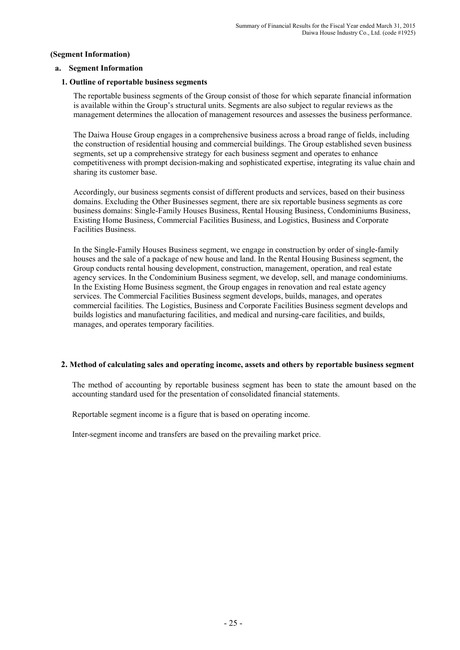#### **(Segment Information)**

#### **a. Segment Information**

#### **1. Outline of reportable business segments**

The reportable business segments of the Group consist of those for which separate financial information is available within the Group's structural units. Segments are also subject to regular reviews as the management determines the allocation of management resources and assesses the business performance.

 The Daiwa House Group engages in a comprehensive business across a broad range of fields, including the construction of residential housing and commercial buildings. The Group established seven business segments, set up a comprehensive strategy for each business segment and operates to enhance competitiveness with prompt decision-making and sophisticated expertise, integrating its value chain and sharing its customer base.

 Accordingly, our business segments consist of different products and services, based on their business domains. Excluding the Other Businesses segment, there are six reportable business segments as core business domains: Single-Family Houses Business, Rental Housing Business, Condominiums Business, Existing Home Business, Commercial Facilities Business, and Logistics, Business and Corporate Facilities Business.

 In the Single-Family Houses Business segment, we engage in construction by order of single-family houses and the sale of a package of new house and land. In the Rental Housing Business segment, the Group conducts rental housing development, construction, management, operation, and real estate agency services. In the Condominium Business segment, we develop, sell, and manage condominiums. In the Existing Home Business segment, the Group engages in renovation and real estate agency services. The Commercial Facilities Business segment develops, builds, manages, and operates commercial facilities. The Logistics, Business and Corporate Facilities Business segment develops and builds logistics and manufacturing facilities, and medical and nursing-care facilities, and builds, manages, and operates temporary facilities.

#### **2. Method of calculating sales and operating income, assets and others by reportable business segment**

The method of accounting by reportable business segment has been to state the amount based on the accounting standard used for the presentation of consolidated financial statements.

Reportable segment income is a figure that is based on operating income.

Inter-segment income and transfers are based on the prevailing market price.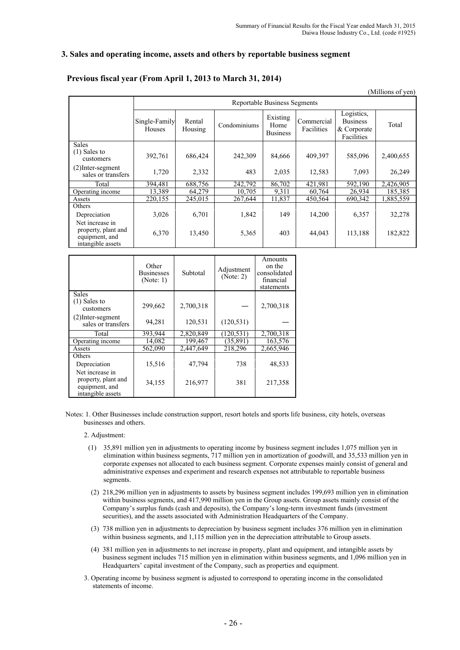#### **3. Sales and operating income, assets and others by reportable business segment**

#### **Previous fiscal year (From April 1, 2013 to March 31, 2014)**

|                                                                               |                                                     |         |              |                                     |                                         |         | (Millions of yen) |
|-------------------------------------------------------------------------------|-----------------------------------------------------|---------|--------------|-------------------------------------|-----------------------------------------|---------|-------------------|
|                                                                               |                                                     |         |              | <b>Reportable Business Segments</b> |                                         |         |                   |
|                                                                               | Single-Family<br>Rental<br><b>Houses</b><br>Housing |         | Condominiums | Existing<br>Home<br><b>Business</b> | Commercial<br>Facilities<br>& Corporate |         | Total             |
| <b>Sales</b><br>$(1)$ Sales to<br>customers                                   | 392,761                                             | 686,424 | 242,309      | 84,666                              | 409,397                                 | 585,096 | 2,400,655         |
| $(2)$ Inter-segment<br>sales or transfers                                     | 1,720                                               | 2,332   | 483          | 2,035                               | 12,583                                  | 7,093   | 26,249            |
| Total                                                                         | 394,481                                             | 688,756 | 242,792      | 86,702                              | 421,981                                 | 592,190 | 2,426,905         |
| Operating income                                                              | 13,389                                              | 64,279  | 10,705       | 9,311                               | 60,764                                  | 26,934  | 185,385           |
| Assets                                                                        | 220,155                                             | 245,015 | 267,644      | 11,837                              | 450,564                                 | 690,342 | ,885,559          |
| Others                                                                        |                                                     |         |              |                                     |                                         |         |                   |
| Depreciation                                                                  | 3,026                                               | 6,701   | 1,842        | 149                                 | 14,200                                  | 6,357   | 32,278            |
| Net increase in<br>property, plant and<br>equipment, and<br>intangible assets | 6,370                                               | 13,450  | 5,365        | 403                                 | 44,043                                  | 113,188 | 182,822           |

|                                                                               | Other<br><b>Businesses</b><br>(Note: 1) | Subtotal  | Adjustment<br>(Note: 2) | Amounts<br>on the<br>consolidated<br>financial<br>statements |
|-------------------------------------------------------------------------------|-----------------------------------------|-----------|-------------------------|--------------------------------------------------------------|
| <b>Sales</b>                                                                  |                                         |           |                         |                                                              |
| $(1)$ Sales to<br>customers                                                   | 299,662                                 | 2,700,318 |                         | 2,700,318                                                    |
| $(2)$ Inter-segment<br>sales or transfers                                     | 94,281                                  | 120,531   | (120, 531)              |                                                              |
| Total                                                                         | 393,944                                 | 2,820,849 | (120, 531)              | 2,700,318                                                    |
| Operating income                                                              | 14,082                                  | 199,467   | (35, 891)               | 163,576                                                      |
| Assets                                                                        | 562,090                                 | 2,447,649 | 218,296                 | 2,665,946                                                    |
| Others                                                                        |                                         |           |                         |                                                              |
| Depreciation                                                                  | 15,516                                  | 47.794    | 738                     | 48,533                                                       |
| Net increase in<br>property, plant and<br>equipment, and<br>intangible assets | 34,155                                  | 216,977   | 381                     | 217,358                                                      |

Notes: 1. Other Businesses include construction support, resort hotels and sports life business, city hotels, overseas businesses and others.

2. Adjustment:

- (1) 35,891 million yen in adjustments to operating income by business segment includes 1,075 million yen in elimination within business segments, 717 million yen in amortization of goodwill, and 35,533 million yen in corporate expenses not allocated to each business segment. Corporate expenses mainly consist of general and administrative expenses and experiment and research expenses not attributable to reportable business segments.
- (2) 218,296 million yen in adjustments to assets by business segment includes 199,693 million yen in elimination within business segments, and 417,990 million yen in the Group assets. Group assets mainly consist of the Company's surplus funds (cash and deposits), the Company's long-term investment funds (investment securities), and the assets associated with Administration Headquarters of the Company.
- (3) 738 million yen in adjustments to depreciation by business segment includes 376 million yen in elimination within business segments, and 1,115 million yen in the depreciation attributable to Group assets.
- (4) 381 million yen in adjustments to net increase in property, plant and equipment, and intangible assets by business segment includes 715 million yen in elimination within business segments, and 1,096 million yen in Headquarters' capital investment of the Company, such as properties and equipment.
- 3. Operating income by business segment is adjusted to correspond to operating income in the consolidated statements of income.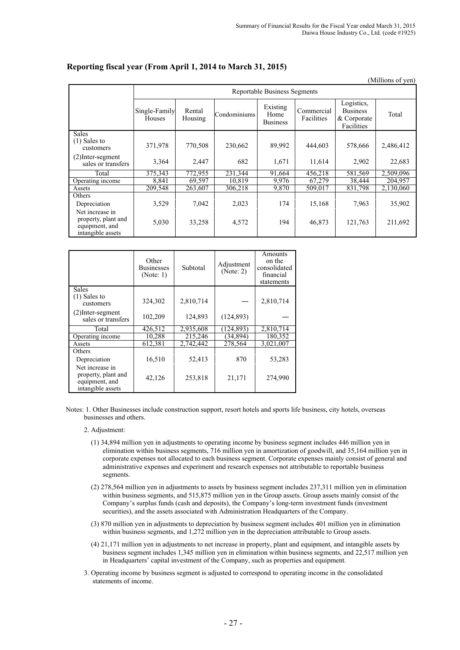|                                                                               |                         |                                     |              |                                     |                          |                                                            | (Millions of yen) |  |  |  |  |  |
|-------------------------------------------------------------------------------|-------------------------|-------------------------------------|--------------|-------------------------------------|--------------------------|------------------------------------------------------------|-------------------|--|--|--|--|--|
|                                                                               |                         | <b>Reportable Business Segments</b> |              |                                     |                          |                                                            |                   |  |  |  |  |  |
|                                                                               | Single-Family<br>Houses | Rental<br>Housing                   | Condominiums | Existing<br>Home<br><b>Business</b> | Commercial<br>Facilities | Logistics,<br><b>Business</b><br>& Corporate<br>Facilities | Total             |  |  |  |  |  |
| <b>Sales</b><br>$(1)$ Sales to<br>customers                                   | 371,978                 | 770,508                             | 230,662      | 89,992                              | 444,603                  | 578,666                                                    | 2,486,412         |  |  |  |  |  |
| $(2)$ Inter-segment<br>sales or transfers                                     | 3,364                   | 2,447                               | 682          | 1,671                               | 11,614                   | 2,902                                                      | 22,683            |  |  |  |  |  |
| Total                                                                         | 375,343                 | 772,955                             | 231,344      | 91,664                              | 456,218                  | 581,569                                                    | 2,509,096         |  |  |  |  |  |
| Operating income                                                              | 8,841                   | 69,597                              | 10.819       | 9,976                               | 67,279                   | 38,444                                                     | 204.957           |  |  |  |  |  |
| Assets                                                                        | 209,548                 | 263,607                             | 306,218      | 9,870                               | 509,017                  | 831,798                                                    | 2,130,060         |  |  |  |  |  |
| Others<br>Depreciation                                                        | 3,529                   | 7,042                               | 2,023        | 174                                 | 15,168                   | 7,963                                                      | 35,902            |  |  |  |  |  |
| Net increase in<br>property, plant and<br>equipment, and<br>intangible assets | 5,030                   | 33,258                              | 4,572        | 194                                 | 46,873                   | 121,763                                                    | 211,692           |  |  |  |  |  |

### **Reporting fiscal year (From April 1, 2014 to March 31, 2015)**

|                                                                               | Other<br><b>Businesses</b><br>(Note: 1) | Subtotal  | Adjustment<br>(Note: 2) | Amounts<br>on the<br>consolidated<br>financial<br>statements |
|-------------------------------------------------------------------------------|-----------------------------------------|-----------|-------------------------|--------------------------------------------------------------|
| <b>Sales</b><br>$(1)$ Sales to<br>customers                                   | 324,302                                 | 2,810,714 |                         | 2,810,714                                                    |
| $(2)$ Inter-segment<br>sales or transfers                                     | 102,209                                 | 124,893   | (124, 893)              |                                                              |
| Total                                                                         | 426.512                                 | 2,935,608 | (124, 893)              | 2,810,714                                                    |
| Operating income                                                              | 10,288                                  | 215,246   | (34, 894)               | 180,352                                                      |
| Assets                                                                        | 612,381                                 | 2,742,442 | 278,564                 | 3,021,007                                                    |
| Others                                                                        |                                         |           |                         |                                                              |
| Depreciation                                                                  | 16,510                                  | 52,413    | 870                     | 53,283                                                       |
| Net increase in<br>property, plant and<br>equipment, and<br>intangible assets | 42,126                                  | 253,818   | 21,171                  | 274,990                                                      |

Notes: 1. Other Businesses include construction support, resort hotels and sports life business, city hotels, overseas businesses and others.

#### 2. Adjustment:

- (1) 34,894 million yen in adjustments to operating income by business segment includes 446 million yen in elimination within business segments, 716 million yen in amortization of goodwill, and 35,164 million yen in corporate expenses not allocated to each business segment. Corporate expenses mainly consist of general and administrative expenses and experiment and research expenses not attributable to reportable business segments.
- (2) 278,564 million yen in adjustments to assets by business segment includes 237,311 million yen in elimination within business segments, and 515,875 million yen in the Group assets. Group assets mainly consist of the Company's surplus funds (cash and deposits), the Company's long-term investment funds (investment securities), and the assets associated with Administration Headquarters of the Company.
- (3) 870 million yen in adjustments to depreciation by business segment includes 401 million yen in elimination within business segments, and 1,272 million yen in the depreciation attributable to Group assets.
- (4) 21,171 million yen in adjustments to net increase in property, plant and equipment, and intangible assets by business segment includes 1,345 million yen in elimination within business segments, and 22,517 million yen in Headquarters' capital investment of the Company, such as properties and equipment.
- 3. Operating income by business segment is adjusted to correspond to operating income in the consolidated statements of income.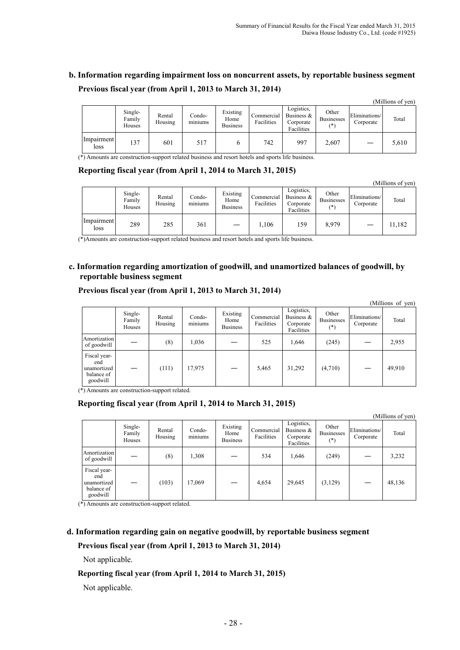# **b. Information regarding impairment loss on noncurrent assets, by reportable business segment Previous fiscal year (from April 1, 2013 to March 31, 2014)**

|                    |                             |                   |                                      |                                     |                          |                                                        |                                     |                            | (Millions of yen) |
|--------------------|-----------------------------|-------------------|--------------------------------------|-------------------------------------|--------------------------|--------------------------------------------------------|-------------------------------------|----------------------------|-------------------|
|                    | Single-<br>Family<br>Houses | Rental<br>Housing | Condo-<br>$\cdot$ $\cdot$<br>miniums | Existing<br>Home<br><b>Business</b> | Commercial<br>Facilities | Logistics,<br>Business $\&$<br>Corporate<br>Facilities | Other<br><b>Businesses</b><br>$(*)$ | Eliminations/<br>Corporate | Total             |
| Impairment<br>loss | 137                         | 601               | 517                                  |                                     | 742                      | 997                                                    | 2,607                               |                            | 5,610             |

(\*) Amounts are construction-support related business and resort hotels and sports life business.

#### **Reporting fiscal year (from April 1, 2014 to March 31, 2015)**

|                    |                             |                   |                                    |                                     |                          |                                                        |                                     |                            | (Millions of yen) |
|--------------------|-----------------------------|-------------------|------------------------------------|-------------------------------------|--------------------------|--------------------------------------------------------|-------------------------------------|----------------------------|-------------------|
|                    | Single-<br>Family<br>Houses | Rental<br>Housing | Condo-<br>$\sim$ $\sim$<br>miniums | Existing<br>Home<br><b>Business</b> | Commercial<br>Facilities | Logistics,<br>Business $\&$<br>Corporate<br>Facilities | Other<br><b>Businesses</b><br>$(*)$ | Eliminations/<br>Corporate | Total             |
| Impairment<br>loss | 289                         | 285               | 361                                |                                     | 1,106                    | 159                                                    | 8,979                               |                            | 11,182            |

(\*)Amounts are construction-support related business and resort hotels and sports life business.

#### **c. Information regarding amortization of goodwill, and unamortized balances of goodwill, by reportable business segment**

#### **Previous fiscal year (from April 1, 2013 to March 31, 2014)**

|                                                              |                             |                   |                   |                                     |                          |                                                        |                                     |                            | (Millions of yen) |
|--------------------------------------------------------------|-----------------------------|-------------------|-------------------|-------------------------------------|--------------------------|--------------------------------------------------------|-------------------------------------|----------------------------|-------------------|
|                                                              | Single-<br>Family<br>Houses | Rental<br>Housing | Condo-<br>miniums | Existing<br>Home<br><b>Business</b> | Commercial<br>Facilities | Logistics,<br>Business $\&$<br>Corporate<br>Facilities | Other<br><b>Businesses</b><br>$(*)$ | Eliminations/<br>Corporate | Total             |
| Amortization<br>of goodwill                                  |                             | (8)               | 1,036             |                                     | 525                      | 1,646                                                  | (245)                               |                            | 2,955             |
| Fiscal year-<br>end<br>unamortized<br>balance of<br>goodwill |                             | (111)             | 17,975            |                                     | 5,465                    | 31,292                                                 | (4,710)                             |                            | 49,910            |

(\*) Amounts are construction-support related.

#### **Reporting fiscal year (from April 1, 2014 to March 31, 2015)**

|                                                              | (Millions of yen)           |                   |                   |                                     |                          |                                                        |                                     |                            |        |
|--------------------------------------------------------------|-----------------------------|-------------------|-------------------|-------------------------------------|--------------------------|--------------------------------------------------------|-------------------------------------|----------------------------|--------|
|                                                              | Single-<br>Family<br>Houses | Rental<br>Housing | Condo-<br>miniums | Existing<br>Home<br><b>Business</b> | Commercial<br>Facilities | Logistics,<br>Business $\&$<br>Corporate<br>Facilities | Other<br><b>Businesses</b><br>$(*)$ | Eliminations/<br>Corporate | Total  |
| Amortization<br>of goodwill                                  |                             | (8)               | 1,308             |                                     | 534                      | 1,646                                                  | (249)                               |                            | 3,232  |
| Fiscal year-<br>end<br>unamortized<br>balance of<br>goodwill |                             | (103)             | 17,069            |                                     | 4,654                    | 29,645                                                 | (3, 129)                            |                            | 48,136 |

(\*) Amounts are construction-support related.

#### **d. Information regarding gain on negative goodwill, by reportable business segment**

#### **Previous fiscal year (from April 1, 2013 to March 31, 2014)**

Not applicable.

#### **Reporting fiscal year (from April 1, 2014 to March 31, 2015)**

Not applicable.